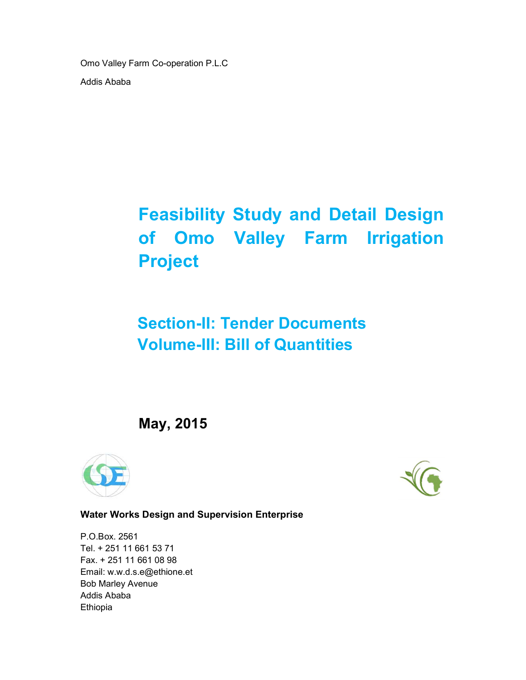Omo Valley Farm Co-operation P.L.C Addis Ababa

# Feasibility Study and Detail Design of Omo Valley Farm Irrigation Project

# Section-II: Tender Documents Volume-III: Bill of Quantities

May, 2015





Water Works Design and Supervision Enterprise

P.O.Box. 2561 Tel. + 251 11 661 53 71 Fax. + 251 11 661 08 98 Email: w.w.d.s.e@ethione.et Bob Marley Avenue Addis Ababa Ethiopia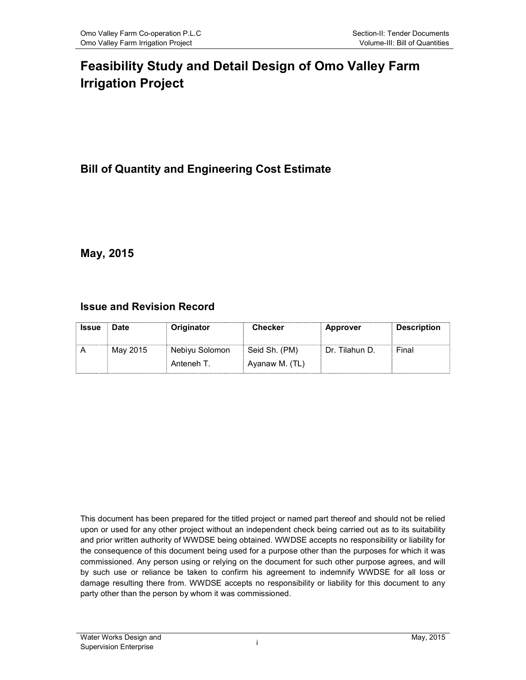# Feasibility Study and Detail Design of Omo Valley Farm Irrigation Project

# Bill of Quantity and Engineering Cost Estimate

# May, 2015

# Issue and Revision Record

| <b>Issue</b> | Date     | Originator     | <b>Checker</b> | <b>Approver</b>  | <b>Description</b> |
|--------------|----------|----------------|----------------|------------------|--------------------|
|              | May 2015 | Nebiyu Solomon | Seid Sh. (PM)  | - Dr. Tilahun D. | Final              |
|              |          | Anteneh T.     | Ayanaw M. (TL) |                  |                    |

This document has been prepared for the titled project or named part thereof and should not be relied upon or used for any other project without an independent check being carried out as to its suitability and prior written authority of WWDSE being obtained. WWDSE accepts no responsibility or liability for the consequence of this document being used for a purpose other than the purposes for which it was commissioned. Any person using or relying on the document for such other purpose agrees, and will by such use or reliance be taken to confirm his agreement to indemnify WWDSE for all loss or damage resulting there from. WWDSE accepts no responsibility or liability for this document to any party other than the person by whom it was commissioned.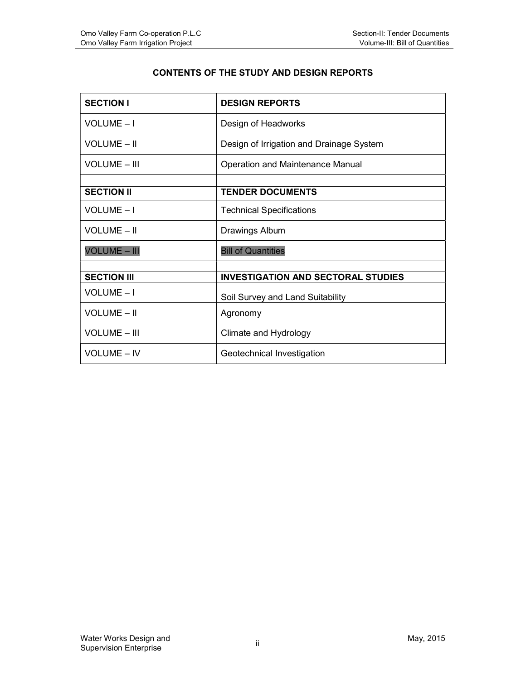#### CONTENTS OF THE STUDY AND DESIGN REPORTS

| <b>SECTION I</b>    | <b>DESIGN REPORTS</b>                     |
|---------------------|-------------------------------------------|
| VOLUME-I            | Design of Headworks                       |
| <b>VOLUME - II</b>  | Design of Irrigation and Drainage System  |
| <b>VOLUME - III</b> | Operation and Maintenance Manual          |
|                     |                                           |
| <b>SECTION II</b>   | <b>TENDER DOCUMENTS</b>                   |
| VOLUME-I            | <b>Technical Specifications</b>           |
| <b>VOLUME - II</b>  | <b>Drawings Album</b>                     |
| <b>VOLUME - III</b> | <b>Bill of Quantities</b>                 |
|                     |                                           |
| <b>SECTION III</b>  | <b>INVESTIGATION AND SECTORAL STUDIES</b> |
| VOLUME-I            | Soil Survey and Land Suitability          |
| <b>VOLUME - II</b>  | Agronomy                                  |
| <b>VOLUME - III</b> | Climate and Hydrology                     |
| <b>VOLUME - IV</b>  | Geotechnical Investigation                |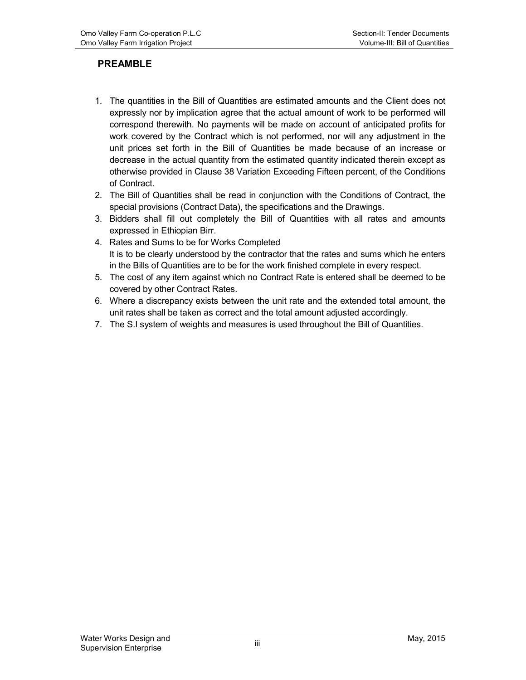# PREAMBLE

- 1. The quantities in the Bill of Quantities are estimated amounts and the Client does not expressly nor by implication agree that the actual amount of work to be performed will correspond therewith. No payments will be made on account of anticipated profits for work covered by the Contract which is not performed, nor will any adjustment in the unit prices set forth in the Bill of Quantities be made because of an increase or decrease in the actual quantity from the estimated quantity indicated therein except as otherwise provided in Clause 38 Variation Exceeding Fifteen percent, of the Conditions of Contract.
- 2. The Bill of Quantities shall be read in conjunction with the Conditions of Contract, the special provisions (Contract Data), the specifications and the Drawings.
- 3. Bidders shall fill out completely the Bill of Quantities with all rates and amounts expressed in Ethiopian Birr.
- 4. Rates and Sums to be for Works Completed It is to be clearly understood by the contractor that the rates and sums which he enters in the Bills of Quantities are to be for the work finished complete in every respect.
- 5. The cost of any item against which no Contract Rate is entered shall be deemed to be covered by other Contract Rates.
- 6. Where a discrepancy exists between the unit rate and the extended total amount, the unit rates shall be taken as correct and the total amount adjusted accordingly.
- 7. The S.I system of weights and measures is used throughout the Bill of Quantities.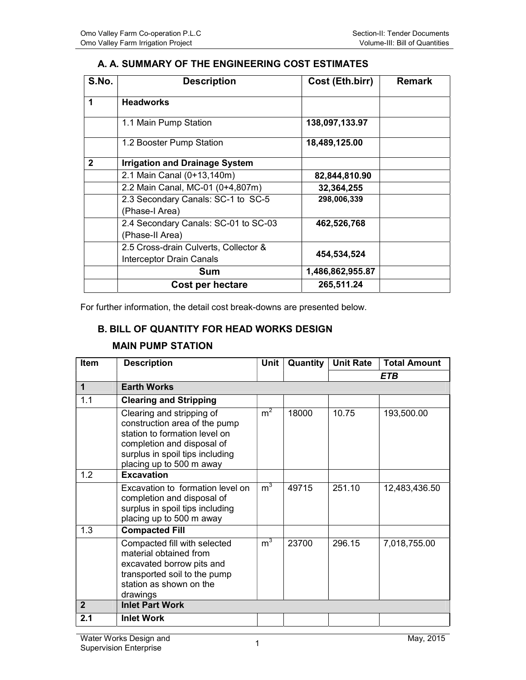## A. A. SUMMARY OF THE ENGINEERING COST ESTIMATES

| S.No.        | <b>Description</b>                    | Cost (Eth.birr)  | <b>Remark</b> |
|--------------|---------------------------------------|------------------|---------------|
| 1            | <b>Headworks</b>                      |                  |               |
|              | 1.1 Main Pump Station                 | 138,097,133.97   |               |
|              | 1.2 Booster Pump Station              | 18,489,125.00    |               |
| $\mathbf{2}$ | <b>Irrigation and Drainage System</b> |                  |               |
|              | 2.1 Main Canal (0+13,140m)            | 82,844,810.90    |               |
|              | 2.2 Main Canal, MC-01 (0+4,807m)      | 32,364,255       |               |
|              | 2.3 Secondary Canals: SC-1 to SC-5    | 298,006,339      |               |
|              | (Phase-I Area)                        |                  |               |
|              | 2.4 Secondary Canals: SC-01 to SC-03  | 462,526,768      |               |
|              | (Phase-II Area)                       |                  |               |
|              | 2.5 Cross-drain Culverts, Collector & |                  |               |
|              | <b>Interceptor Drain Canals</b>       | 454,534,524      |               |
|              | Sum                                   | 1,486,862,955.87 |               |
|              | Cost per hectare                      | 265,511.24       |               |

For further information, the detail cost break-downs are presented below.

#### B. BILL OF QUANTITY FOR HEAD WORKS DESIGN

#### MAIN PUMP STATION

| <b>Item</b>    | <b>Description</b>                                                                                                                                                                       | Unit           | Quantity $ $ | <b>Unit Rate</b> | <b>Total Amount</b> |
|----------------|------------------------------------------------------------------------------------------------------------------------------------------------------------------------------------------|----------------|--------------|------------------|---------------------|
|                |                                                                                                                                                                                          |                |              |                  | ETB                 |
| $\mathbf 1$    | <b>Earth Works</b>                                                                                                                                                                       |                |              |                  |                     |
| 1.1            | <b>Clearing and Stripping</b>                                                                                                                                                            |                |              |                  |                     |
|                | Clearing and stripping of<br>construction area of the pump<br>station to formation level on<br>completion and disposal of<br>surplus in spoil tips including<br>placing up to 500 m away | m <sup>2</sup> | 18000        | 10.75            | 193,500.00          |
| 1.2            | <b>Excavation</b>                                                                                                                                                                        |                |              |                  |                     |
|                | Excavation to formation level on<br>completion and disposal of<br>surplus in spoil tips including<br>placing up to 500 m away                                                            | m <sup>3</sup> | 49715        | 251.10           | 12,483,436.50       |
| 1.3            | <b>Compacted Fill</b>                                                                                                                                                                    |                |              |                  |                     |
|                | Compacted fill with selected<br>material obtained from<br>excavated borrow pits and<br>transported soil to the pump<br>station as shown on the<br>drawings                               | $m^3$          | 23700        | 296.15           | 7,018,755.00        |
| $\overline{2}$ | <b>Inlet Part Work</b>                                                                                                                                                                   |                |              |                  |                     |
| 2.1            | <b>Inlet Work</b>                                                                                                                                                                        |                |              |                  |                     |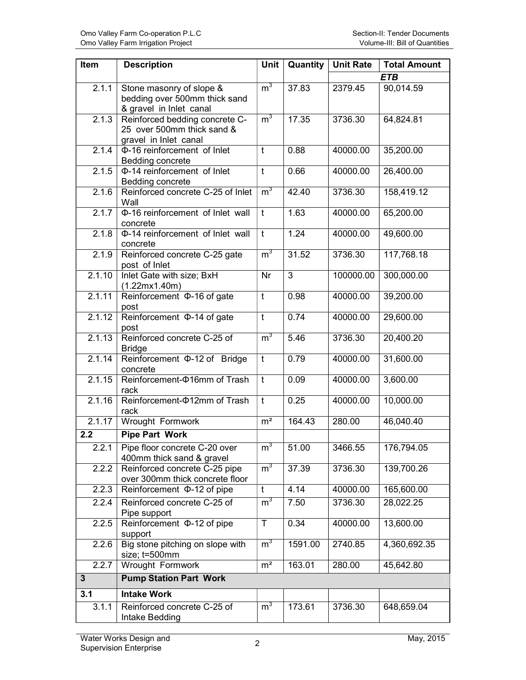| Item         | <b>Description</b>                                                                    | Unit           | Quantity | <b>Unit Rate</b> | <b>Total Amount</b> |
|--------------|---------------------------------------------------------------------------------------|----------------|----------|------------------|---------------------|
|              |                                                                                       |                |          |                  | <b>ETB</b>          |
| 2.1.1        | Stone masonry of slope &<br>bedding over 500mm thick sand<br>& gravel in Inlet canal  | m <sup>3</sup> | 37.83    | 2379.45          | 90,014.59           |
| 2.1.3        | Reinforced bedding concrete C-<br>25 over 500mm thick sand &<br>gravel in Inlet canal | m <sup>3</sup> | 17.35    | 3736.30          | 64,824.81           |
| 2.1.4        | Φ-16 reinforcement of Inlet<br>Bedding concrete                                       | t              | 0.88     | 40000.00         | 35,200.00           |
| 2.1.5        | Φ-14 reinforcement of Inlet<br>Bedding concrete                                       | $\mathbf t$    | 0.66     | 40000.00         | 26,400.00           |
| 2.1.6        | Reinforced concrete C-25 of Inlet<br>Wall                                             | m <sup>3</sup> | 42.40    | 3736.30          | 158,419.12          |
| 2.1.7        | Φ-16 reinforcement of Inlet wall<br>concrete                                          | $\mathsf{t}$   | 1.63     | 40000.00         | 65,200.00           |
| 2.1.8        | Φ-14 reinforcement of Inlet wall<br>concrete                                          | $\mathsf{t}$   | 1.24     | 40000.00         | 49,600.00           |
| 2.1.9        | Reinforced concrete C-25 gate<br>post of Inlet                                        | m <sup>3</sup> | 31.52    | 3736.30          | 117,768.18          |
| 2.1.10       | Inlet Gate with size; BxH<br>(1.22mx1.40m)                                            | Nr             | 3        | 100000.00        | 300,000.00          |
| 2.1.11       | Reinforcement $\Phi$ -16 of gate<br>post                                              | $\mathsf{t}$   | 0.98     | 40000.00         | 39,200.00           |
| 2.1.12       | Reinforcement $\Phi$ -14 of gate<br>post                                              | $\mathsf{t}$   | 0.74     | 40000.00         | 29,600.00           |
| 2.1.13       | Reinforced concrete C-25 of<br><b>Bridge</b>                                          | m <sup>3</sup> | 5.46     | 3736.30          | 20,400.20           |
| 2.1.14       | Reinforcement $\Phi$ -12 of Bridge<br>concrete                                        | $\mathsf{t}$   | 0.79     | 40000.00         | 31,600.00           |
| 2.1.15       | Reinforcement- $\Phi$ 16mm of Trash<br>rack                                           | $\mathbf t$    | 0.09     | 40000.00         | 3,600.00            |
| 2.1.16       | Reinforcement- $\Phi$ 12mm of Trash<br>rack                                           | $\mathbf t$    | 0.25     | 40000.00         | 10,000.00           |
| 2.1.17       | Wrought Formwork                                                                      | m <sup>2</sup> | 164.43   | 280.00           | 46,040.40           |
| 2.2          | <b>Pipe Part Work</b>                                                                 |                |          |                  |                     |
| 2.2.1        | Pipe floor concrete C-20 over<br>400mm thick sand & gravel                            | $m^3$          | 51.00    | 3466.55          | 176,794.05          |
| 2.2.2        | Reinforced concrete C-25 pipe<br>over 300mm thick concrete floor                      | m <sup>3</sup> | 37.39    | 3736.30          | 139,700.26          |
| 2.2.3        | Reinforcement $\Phi$ -12 of pipe                                                      | t              | 4.14     | 40000.00         | 165,600.00          |
| 2.2.4        | Reinforced concrete C-25 of<br>Pipe support                                           | m <sup>3</sup> | 7.50     | 3736.30          | 28,022.25           |
| 2.2.5        | Reinforcement $\Phi$ -12 of pipe<br>support                                           | T              | 0.34     | 40000.00         | 13,600.00           |
| 2.2.6        | Big stone pitching on slope with<br>size; t=500mm                                     | m <sup>3</sup> | 1591.00  | 2740.85          | 4,360,692.35        |
| 2.2.7        | Wrought Formwork                                                                      | m <sup>2</sup> | 163.01   | 280.00           | 45,642.80           |
| $\mathbf{3}$ | <b>Pump Station Part Work</b>                                                         |                |          |                  |                     |
| 3.1          | <b>Intake Work</b>                                                                    |                |          |                  |                     |
| 3.1.1        | Reinforced concrete C-25 of<br>Intake Bedding                                         | m <sup>3</sup> | 173.61   | 3736.30          | 648,659.04          |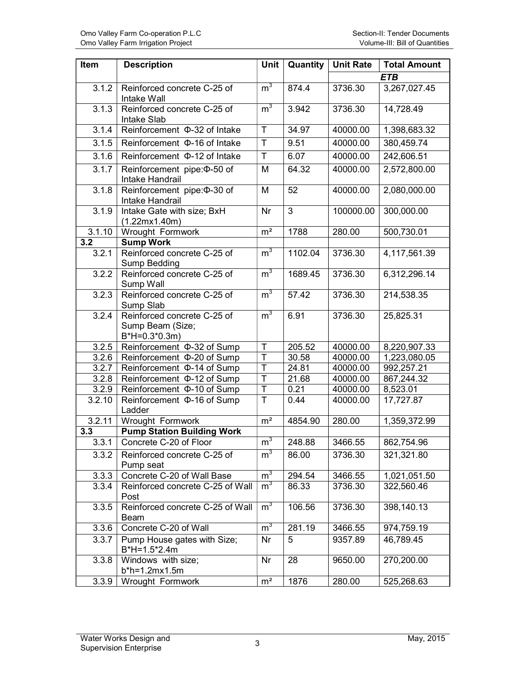| Item   | <b>Description</b>                                                | Unit                    | Quantity | <b>Unit Rate</b> | <b>Total Amount</b> |
|--------|-------------------------------------------------------------------|-------------------------|----------|------------------|---------------------|
|        |                                                                   |                         |          |                  | <b>ETB</b>          |
| 3.1.2  | Reinforced concrete C-25 of<br>Intake Wall                        | m <sup>3</sup>          | 874.4    | 3736.30          | 3,267,027.45        |
| 3.1.3  | Reinforced concrete C-25 of<br>Intake Slab                        | m <sup>3</sup>          | 3.942    | 3736.30          | 14,728.49           |
| 3.1.4  | Reinforcement $\Phi$ -32 of Intake                                | T                       | 34.97    | 40000.00         | 1,398,683.32        |
| 3.1.5  | Reinforcement $\Phi$ -16 of Intake                                | $\overline{\mathsf{T}}$ | 9.51     | 40000.00         | 380,459.74          |
| 3.1.6  | Reinforcement $\Phi$ -12 of Intake                                | T.                      | 6.07     | 40000.00         | 242,606.51          |
| 3.1.7  | Reinforcement pipe: 0-50 of<br>Intake Handrail                    | M                       | 64.32    | 40000.00         | 2,572,800.00        |
| 3.1.8  | Reinforcement pipe: 0-30 of<br>Intake Handrail                    | M                       | 52       | 40000.00         | 2,080,000.00        |
| 3.1.9  | Intake Gate with size; BxH<br>(1.22mx1.40m)                       | Nr                      | 3        | 100000.00        | 300,000.00          |
| 3.1.10 | Wrought Formwork                                                  | m <sup>2</sup>          | 1788     | 280.00           | 500,730.01          |
| 3.2    | <b>Sump Work</b>                                                  |                         |          |                  |                     |
| 3.2.1  | Reinforced concrete C-25 of<br>Sump Bedding                       | m <sup>3</sup>          | 1102.04  | 3736.30          | 4,117,561.39        |
| 3.2.2  | Reinforced concrete C-25 of<br>Sump Wall                          | m <sup>3</sup>          | 1689.45  | 3736.30          | 6,312,296.14        |
| 3.2.3  | Reinforced concrete C-25 of<br>Sump Slab                          | m <sup>3</sup>          | 57.42    | 3736.30          | 214,538.35          |
| 3.2.4  | Reinforced concrete C-25 of<br>Sump Beam (Size;<br>$B*H=0.3*0.3m$ | m <sup>3</sup>          | 6.91     | 3736.30          | 25,825.31           |
| 3.2.5  | Reinforcement $\Phi$ -32 of Sump                                  | T                       | 205.52   | 40000.00         | 8,220,907.33        |
| 3.2.6  | Reinforcement $\Phi$ -20 of Sump                                  | $\mathsf T$             | 30.58    | 40000.00         | 1,223,080.05        |
| 3.2.7  | Reinforcement $\Phi$ -14 of Sump                                  | T                       | 24.81    | 40000.00         | 992,257.21          |
| 3.2.8  | Reinforcement $\Phi$ -12 of Sump                                  | T                       | 21.68    | 40000.00         | 867,244.32          |
| 3.2.9  | Reinforcement $\Phi$ -10 of Sump                                  | T                       | 0.21     | 40000.00         | 8,523.01            |
| 3.2.10 | Reinforcement $\Phi$ -16 of Sump<br>Ladder                        | T                       | 0.44     | 40000.00         | 17,727.87           |
| 3.2.11 | Wrought Formwork                                                  | m <sup>2</sup>          | 4854.90  | 280.00           | 1,359,372.99        |
| 3.3    | <b>Pump Station Building Work</b>                                 |                         |          |                  |                     |
| 3.3.1  | Concrete C-20 of Floor                                            | m <sup>3</sup>          | 248.88   | 3466.55          | 862,754.96          |
| 3.3.2  | Reinforced concrete C-25 of<br>Pump seat                          | m <sup>3</sup>          | 86.00    | 3736.30          | 321,321.80          |
| 3.3.3  | Concrete C-20 of Wall Base                                        | m <sup>3</sup>          | 294.54   | 3466.55          | 1,021,051.50        |
| 3.3.4  | Reinforced concrete C-25 of Wall<br>Post                          | m <sup>3</sup>          | 86.33    | 3736.30          | 322,560.46          |
| 3.3.5  | Reinforced concrete C-25 of Wall<br><b>Beam</b>                   | m <sup>3</sup>          | 106.56   | 3736.30          | 398,140.13          |
| 3.3.6  | Concrete C-20 of Wall                                             | m <sup>3</sup>          | 281.19   | 3466.55          | 974,759.19          |
| 3.3.7  | Pump House gates with Size;<br>$B*H=1.5*2.4m$                     | Nr                      | 5        | 9357.89          | 46,789.45           |
| 3.3.8  | Windows with size;<br>b*h=1.2mx1.5m                               | <b>Nr</b>               | 28       | 9650.00          | 270,200.00          |
| 3.3.9  | Wrought Formwork                                                  | m <sup>2</sup>          | 1876     | 280.00           | 525,268.63          |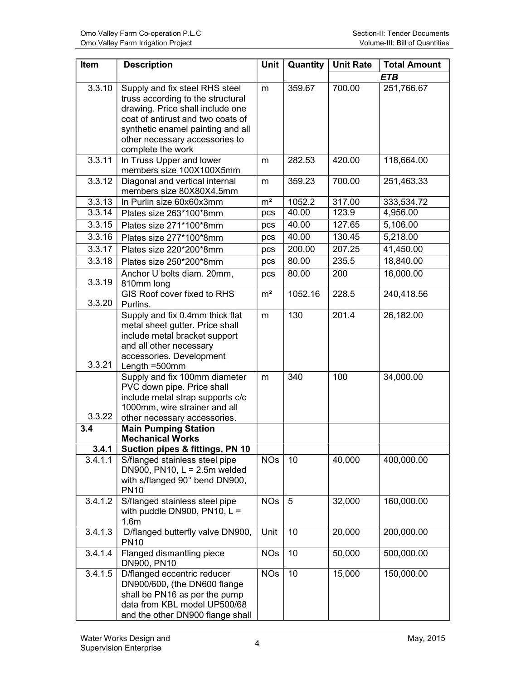| Item             | <b>Description</b>                                                                                                                                                                                                                       | <b>Unit</b>    | Quantity | <b>Unit Rate</b> | <b>Total Amount</b> |
|------------------|------------------------------------------------------------------------------------------------------------------------------------------------------------------------------------------------------------------------------------------|----------------|----------|------------------|---------------------|
|                  |                                                                                                                                                                                                                                          |                |          |                  | ETB                 |
| 3.3.10           | Supply and fix steel RHS steel<br>truss according to the structural<br>drawing. Price shall include one<br>coat of antirust and two coats of<br>synthetic enamel painting and all<br>other necessary accessories to<br>complete the work | m              | 359.67   | 700.00           | 251,766.67          |
| 3.3.11           | In Truss Upper and lower<br>members size 100X100X5mm                                                                                                                                                                                     | m              | 282.53   | 420.00           | 118,664.00          |
| 3.3.12           | Diagonal and vertical internal<br>members size 80X80X4.5mm                                                                                                                                                                               | m              | 359.23   | 700.00           | 251,463.33          |
| 3.3.13           | In Purlin size 60x60x3mm                                                                                                                                                                                                                 | m <sup>2</sup> | 1052.2   | 317.00           | 333,534.72          |
| 3.3.14           | Plates size 263*100*8mm                                                                                                                                                                                                                  | pcs            | 40.00    | 123.9            | 4,956.00            |
| 3.3.15           | Plates size 271*100*8mm                                                                                                                                                                                                                  | pcs            | 40.00    | 127.65           | 5,106.00            |
| 3.3.16           | Plates size 277*100*8mm                                                                                                                                                                                                                  | pcs            | 40.00    | 130.45           | 5,218.00            |
| 3.3.17           | Plates size 220*200*8mm                                                                                                                                                                                                                  | pcs            | 200.00   | 207.25           | 41,450.00           |
| 3.3.18           | Plates size 250*200*8mm                                                                                                                                                                                                                  | pcs            | 80.00    | 235.5            | 18,840.00           |
| 3.3.19           | Anchor U bolts diam. 20mm,<br>810mm long                                                                                                                                                                                                 | pcs            | 80.00    | 200              | 16,000.00           |
| 3.3.20           | GIS Roof cover fixed to RHS<br>Purlins.                                                                                                                                                                                                  | m <sup>2</sup> | 1052.16  | 228.5            | 240,418.56          |
| 3.3.21           | Supply and fix 0.4mm thick flat<br>metal sheet gutter. Price shall<br>include metal bracket support<br>and all other necessary<br>accessories. Development<br>Length =500mm                                                              | m              | 130      | 201.4            | 26,182.00           |
| 3.3.22           | Supply and fix 100mm diameter<br>PVC down pipe. Price shall<br>include metal strap supports c/c<br>1000mm, wire strainer and all<br>other necessary accessories.                                                                         | m              | 340      | 100              | 34,000.00           |
| 3.4              | <b>Main Pumping Station</b>                                                                                                                                                                                                              |                |          |                  |                     |
|                  | <b>Mechanical Works</b>                                                                                                                                                                                                                  |                |          |                  |                     |
| 3.4.1<br>3.4.1.1 | Suction pipes & fittings, PN 10<br>S/flanged stainless steel pipe<br>DN900, PN10, $L = 2.5$ m welded<br>with s/flanged 90° bend DN900,<br><b>PN10</b>                                                                                    | <b>NOs</b>     | 10       | 40,000           | 400,000.00          |
| 3.4.1.2          | S/flanged stainless steel pipe<br>with puddle DN900, PN10, $L =$<br>1.6 <sub>m</sub>                                                                                                                                                     | <b>NOs</b>     | 5        | 32,000           | 160,000.00          |
| 3.4.1.3          | D/flanged butterfly valve DN900,<br><b>PN10</b>                                                                                                                                                                                          | Unit           | 10       | 20,000           | 200,000.00          |
| 3.4.1.4          | Flanged dismantling piece<br>DN900, PN10                                                                                                                                                                                                 | <b>NOs</b>     | 10       | 50,000           | 500,000.00          |
| 3.4.1.5          | D/flanged eccentric reducer<br>DN900/600, (the DN600 flange<br>shall be PN16 as per the pump<br>data from KBL model UP500/68<br>and the other DN900 flange shall                                                                         | <b>NOs</b>     | 10       | 15,000           | 150,000.00          |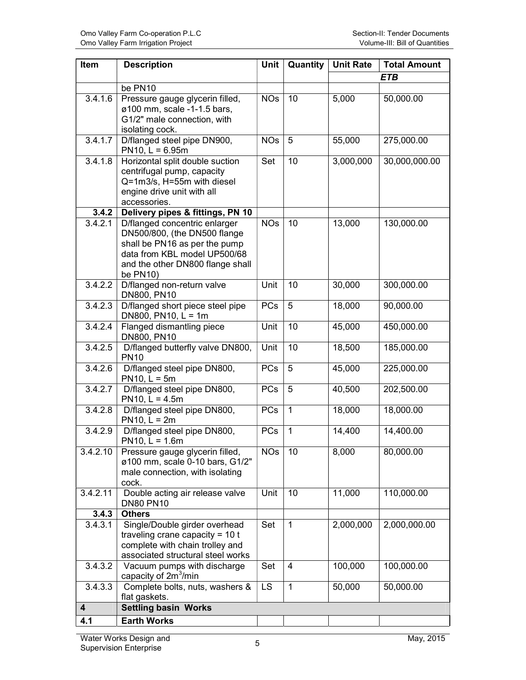| Item                    | <b>Description</b>                                                                                                                                                            | <b>Unit</b> | Quantity     | <b>Unit Rate</b> | <b>Total Amount</b> |
|-------------------------|-------------------------------------------------------------------------------------------------------------------------------------------------------------------------------|-------------|--------------|------------------|---------------------|
|                         |                                                                                                                                                                               |             |              |                  | ETB                 |
|                         | be PN10                                                                                                                                                                       |             |              |                  |                     |
| 3.4.1.6                 | Pressure gauge glycerin filled,<br>ø100 mm, scale -1-1.5 bars,<br>G1/2" male connection, with<br>isolating cock.                                                              | <b>NOs</b>  | 10           | 5,000            | 50,000.00           |
| 3.4.1.7                 | D/flanged steel pipe DN900,<br>$PN10, L = 6.95m$                                                                                                                              | <b>NOs</b>  | 5            | 55,000           | 275,000.00          |
| 3.4.1.8<br>3.4.2        | Horizontal split double suction<br>centrifugal pump, capacity<br>Q=1m3/s, H=55m with diesel<br>engine drive unit with all<br>accessories.<br>Delivery pipes & fittings, PN 10 | Set         | 10           | 3,000,000        | 30,000,000.00       |
| 3.4.2.1                 | D/flanged concentric enlarger                                                                                                                                                 | <b>NOs</b>  | 10           | 13,000           | 130,000.00          |
|                         | DN500/800, (the DN500 flange<br>shall be PN16 as per the pump<br>data from KBL model UP500/68<br>and the other DN800 flange shall<br>be PN10)                                 |             |              |                  |                     |
| 3.4.2.2                 | D/flanged non-return valve<br>DN800, PN10                                                                                                                                     | Unit        | 10           | 30,000           | 300,000.00          |
| 3.4.2.3                 | D/flanged short piece steel pipe<br>DN800, PN10, $L = 1m$                                                                                                                     | <b>PCs</b>  | 5            | 18,000           | 90,000.00           |
| 3.4.2.4                 | Flanged dismantling piece<br>DN800, PN10                                                                                                                                      | Unit        | 10           | 45,000           | 450,000.00          |
| 3.4.2.5                 | D/flanged butterfly valve DN800,<br><b>PN10</b>                                                                                                                               | Unit        | 10           | 18,500           | 185,000.00          |
| 3.4.2.6                 | D/flanged steel pipe DN800,<br>$PN10, L = 5m$                                                                                                                                 | <b>PCs</b>  | 5            | 45,000           | 225,000.00          |
| 3.4.2.7                 | D/flanged steel pipe DN800,<br>PN10, $L = 4.5m$                                                                                                                               | <b>PCs</b>  | 5            | 40,500           | 202,500.00          |
| 3.4.2.8                 | D/flanged steel pipe DN800,<br>$PN10, L = 2m$                                                                                                                                 | <b>PCs</b>  | $\mathbf{1}$ | 18,000           | 18,000.00           |
| 3.4.2.9                 | D/flanged steel pipe DN800,<br>$PN10, L = 1.6m$                                                                                                                               | <b>PCs</b>  | $\mathbf{1}$ | 14,400           | 14,400.00           |
| 3.4.2.10                | Pressure gauge glycerin filled,<br>ø100 mm, scale 0-10 bars, G1/2"<br>male connection, with isolating<br>cock.                                                                | <b>NOs</b>  | 10           | 8,000            | 80,000.00           |
| 3.4.2.11                | Double acting air release valve<br><b>DN80 PN10</b>                                                                                                                           | Unit        | 10           | 11,000           | 110,000.00          |
| 3.4.3                   | <b>Others</b>                                                                                                                                                                 |             |              |                  |                     |
| 3.4.3.1                 | Single/Double girder overhead<br>traveling crane capacity = $10t$<br>complete with chain trolley and<br>associated structural steel works                                     | Set         | $\mathbf{1}$ | 2,000,000        | 2,000,000.00        |
| 3.4.3.2                 | Vacuum pumps with discharge<br>capacity of 2m <sup>3</sup> /min                                                                                                               | Set         | 4            | 100,000          | 100,000.00          |
| 3.4.3.3                 | Complete bolts, nuts, washers &<br>flat gaskets.                                                                                                                              | <b>LS</b>   | 1            | 50,000           | 50,000.00           |
| $\overline{\mathbf{4}}$ | <b>Settling basin Works</b>                                                                                                                                                   |             |              |                  |                     |
| 4.1                     | <b>Earth Works</b>                                                                                                                                                            |             |              |                  |                     |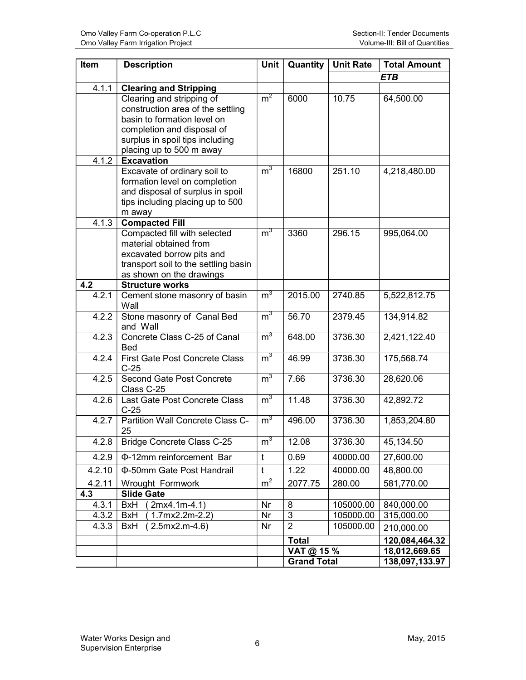| Item   | <b>Description</b>                                                | Unit           | Quantity           | <b>Unit Rate</b> | <b>Total Amount</b> |
|--------|-------------------------------------------------------------------|----------------|--------------------|------------------|---------------------|
|        |                                                                   |                |                    |                  | ETB                 |
| 4.1.1  | <b>Clearing and Stripping</b>                                     |                |                    |                  |                     |
|        | Clearing and stripping of                                         | m <sup>2</sup> | 6000               | 10.75            | 64,500.00           |
|        | construction area of the settling                                 |                |                    |                  |                     |
|        | basin to formation level on                                       |                |                    |                  |                     |
|        | completion and disposal of<br>surplus in spoil tips including     |                |                    |                  |                     |
|        | placing up to 500 m away                                          |                |                    |                  |                     |
| 4.1.2  | <b>Excavation</b>                                                 |                |                    |                  |                     |
|        | Excavate of ordinary soil to                                      | m <sup>3</sup> | 16800              | 251.10           | 4,218,480.00        |
|        | formation level on completion                                     |                |                    |                  |                     |
|        | and disposal of surplus in spoil                                  |                |                    |                  |                     |
|        | tips including placing up to 500                                  |                |                    |                  |                     |
|        | m away                                                            |                |                    |                  |                     |
| 4.1.3  | <b>Compacted Fill</b>                                             |                |                    |                  |                     |
|        | Compacted fill with selected                                      | $m^3$          | 3360               | 296.15           | 995,064.00          |
|        | material obtained from                                            |                |                    |                  |                     |
|        | excavated borrow pits and<br>transport soil to the settling basin |                |                    |                  |                     |
|        | as shown on the drawings                                          |                |                    |                  |                     |
| 4.2    | <b>Structure works</b>                                            |                |                    |                  |                     |
| 4.2.1  | Cement stone masonry of basin                                     | m <sup>3</sup> | 2015.00            | 2740.85          | 5,522,812.75        |
|        | Wall                                                              |                |                    |                  |                     |
| 4.2.2  | Stone masonry of Canal Bed                                        | m <sup>3</sup> | 56.70              | 2379.45          | 134,914.82          |
|        | and Wall                                                          |                |                    |                  |                     |
| 4.2.3  | Concrete Class C-25 of Canal                                      | m <sup>3</sup> | 648.00             | 3736.30          | 2,421,122.40        |
| 4.2.4  | Bed<br><b>First Gate Post Concrete Class</b>                      | m <sup>3</sup> | 46.99              | 3736.30          | 175,568.74          |
|        | $C-25$                                                            |                |                    |                  |                     |
| 4.2.5  | Second Gate Post Concrete                                         | m <sup>3</sup> | 7.66               | 3736.30          | 28,620.06           |
|        | Class C-25                                                        |                |                    |                  |                     |
| 4.2.6  | Last Gate Post Concrete Class                                     | m <sup>3</sup> | 11.48              | 3736.30          | 42,892.72           |
|        | $C-25$                                                            |                |                    |                  |                     |
| 4.2.7  | Partition Wall Concrete Class C-                                  | m <sup>3</sup> | 496.00             | 3736.30          | 1,853,204.80        |
|        | 25                                                                |                |                    |                  |                     |
| 4.2.8  | <b>Bridge Concrete Class C-25</b>                                 | m <sup>3</sup> | 12.08              | 3736.30          | 45,134.50           |
| 4.2.9  | Φ-12mm reinforcement Bar                                          | t              | 0.69               | 40000.00         | 27,600.00           |
| 4.2.10 | Φ-50mm Gate Post Handrail                                         | $\mathsf{t}$   | 1.22               | 40000.00         | 48,800.00           |
| 4.2.11 | Wrought Formwork                                                  | m <sup>2</sup> | 2077.75            | 280.00           | 581,770.00          |
| 4.3    | <b>Slide Gate</b>                                                 |                |                    |                  |                     |
| 4.3.1  | $(2mx4.1m-4.1)$<br><b>BxH</b>                                     | Nr             | 8                  | 105000.00        | 840,000.00          |
| 4.3.2  | $(1.7mx2.2m-2.2)$<br>BxH                                          | Nr             | 3                  | 105000.00        | 315,000.00          |
| 4.3.3  | $(2.5mx2.m-4.6)$<br>BxH                                           | Nr             | $\overline{2}$     | 105000.00        | 210,000.00          |
|        |                                                                   |                | <b>Total</b>       |                  | 120,084,464.32      |
|        |                                                                   |                | VAT @ 15 %         |                  | 18,012,669.65       |
|        |                                                                   |                | <b>Grand Total</b> |                  | 138,097,133.97      |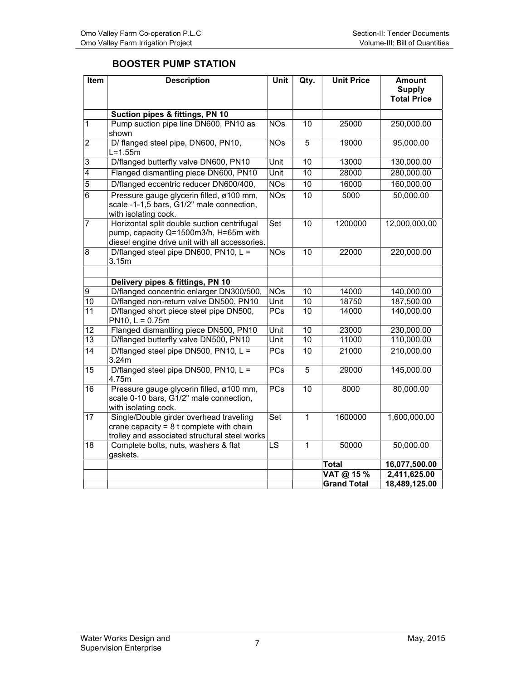### BOOSTER PUMP STATION

| Item                               | <b>Description</b>                                                                                                                     | Unit                     | Qty.                  | <b>Unit Price</b>  | <b>Amount</b><br><b>Supply</b><br><b>Total Price</b> |
|------------------------------------|----------------------------------------------------------------------------------------------------------------------------------------|--------------------------|-----------------------|--------------------|------------------------------------------------------|
|                                    | Suction pipes & fittings, PN 10                                                                                                        |                          |                       |                    |                                                      |
| 1                                  | Pump suction pipe line DN600, PN10 as<br>shown                                                                                         | <b>NOs</b>               | 10                    | 25000              | 250,000.00                                           |
| $\overline{\mathbf{c}}$            | D/ flanged steel pipe, DN600, PN10,<br>$L=1.55m$                                                                                       | <b>NOs</b>               | 5                     | 19000              | 95,000.00                                            |
| 3                                  | D/flanged butterfly valve DN600, PN10                                                                                                  | Unit                     | 10                    | 13000              | 130,000.00                                           |
| $\overline{4}$                     | Flanged dismantling piece DN600, PN10                                                                                                  | Unit                     | 10                    | 28000              | 280,000.00                                           |
| $\overline{5}$                     | D/flanged eccentric reducer DN600/400,                                                                                                 | NOS                      | 10                    | 16000              | 160,000.00                                           |
| $\overline{6}$                     | Pressure gauge glycerin filled, ø100 mm,<br>scale -1-1,5 bars, G1/2" male connection,<br>with isolating cock.                          | NOS                      | $\overline{10}$       | 5000               | 50,000.00                                            |
| $\overline{7}$                     | Horizontal split double suction centrifugal<br>pump, capacity Q=1500m3/h, H=65m with<br>diesel engine drive unit with all accessories. | Set                      | $\overline{10}$       | 1200000            | 12,000,000.00                                        |
| $\overline{8}$                     | D/flanged steel pipe DN600, PN10, L =<br>3.15m                                                                                         | NOS                      | $\overline{10}$       | 22000              | 220,000.00                                           |
|                                    |                                                                                                                                        |                          |                       |                    |                                                      |
|                                    | Delivery pipes & fittings, PN 10                                                                                                       |                          |                       |                    |                                                      |
| 9                                  | D/flanged concentric enlarger DN300/500,                                                                                               | <b>NOs</b>               | 10                    | 14000              | 140,000.00                                           |
| $\overline{10}$<br>$\overline{11}$ | D/flanged non-return valve DN500, PN10<br>D/flanged short piece steel pipe DN500,                                                      | Unit<br>PCs              | 10<br>$\overline{10}$ | 18750<br>14000     | 187,500.00<br>140,000.00                             |
|                                    | $PN10, L = 0.75m$                                                                                                                      |                          |                       |                    |                                                      |
| $\overline{12}$                    | Flanged dismantling piece DN500, PN10                                                                                                  | Unit                     | 10                    | 23000              | 230,000.00                                           |
| 13                                 | D/flanged butterfly valve DN500, PN10                                                                                                  | Unit                     | $\overline{10}$       | 11000              | 110,000.00                                           |
| $\overline{14}$                    | D/flanged steel pipe DN500, PN10, $L =$<br>3.24m                                                                                       | <b>PCs</b>               | $\overline{10}$       | 21000              | 210,000.00                                           |
| 15                                 | D/flanged steel pipe DN500, PN10, $L =$<br>4.75m                                                                                       | <b>PCs</b>               | 5                     | 29000              | 145,000.00                                           |
| $\overline{16}$                    | Pressure gauge glycerin filled, ø100 mm,<br>scale 0-10 bars, G1/2" male connection,<br>with isolating cock.                            | PCs                      | 10                    | 8000               | 80,000.00                                            |
| $\overline{17}$                    | Single/Double girder overhead traveling<br>crane capacity = $8t$ complete with chain<br>trolley and associated structural steel works  | Set                      | $\mathbf{1}$          | 1600000            | 1,600,000.00                                         |
| $\overline{18}$                    | Complete bolts, nuts, washers & flat<br>gaskets.                                                                                       | $\overline{\mathsf{LS}}$ | $\mathbf{1}$          | 50000              | 50,000.00                                            |
|                                    |                                                                                                                                        |                          |                       | Total              | 16,077,500.00                                        |
|                                    |                                                                                                                                        |                          |                       | VAT @ 15 %         | 2,411,625.00                                         |
|                                    |                                                                                                                                        |                          |                       | <b>Grand Total</b> | 18,489,125.00                                        |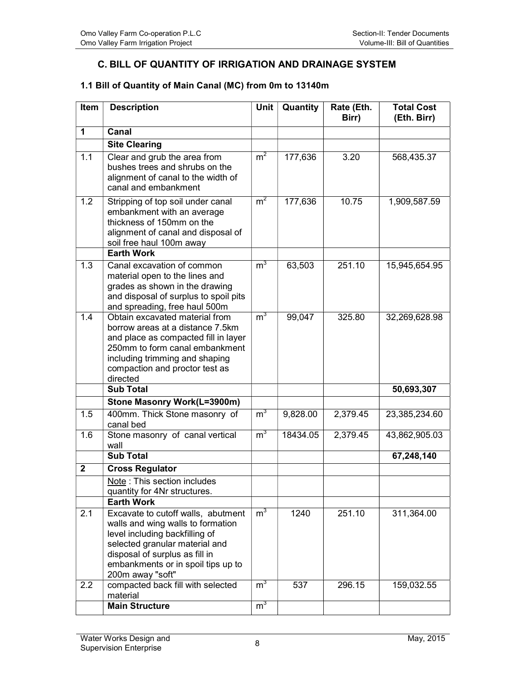### C. BILL OF QUANTITY OF IRRIGATION AND DRAINAGE SYSTEM

#### 1.1 Bill of Quantity of Main Canal (MC) from 0m to 13140m

| Item         | <b>Description</b>                                                                                                                                                                                                           | Unit             | Quantity | Rate (Eth.<br>Birr) | <b>Total Cost</b><br>(Eth. Birr) |
|--------------|------------------------------------------------------------------------------------------------------------------------------------------------------------------------------------------------------------------------------|------------------|----------|---------------------|----------------------------------|
| 1            | Canal                                                                                                                                                                                                                        |                  |          |                     |                                  |
|              | <b>Site Clearing</b>                                                                                                                                                                                                         |                  |          |                     |                                  |
| 1.1          | Clear and grub the area from<br>bushes trees and shrubs on the<br>alignment of canal to the width of<br>canal and embankment                                                                                                 | $\overline{m}^2$ | 177,636  | 3.20                | 568,435.37                       |
| 1.2          | Stripping of top soil under canal<br>embankment with an average<br>thickness of 150mm on the<br>alignment of canal and disposal of<br>soil free haul 100m away                                                               | m <sup>2</sup>   | 177,636  | 10.75               | 1,909,587.59                     |
|              | <b>Earth Work</b>                                                                                                                                                                                                            |                  |          |                     |                                  |
| 1.3          | Canal excavation of common<br>material open to the lines and<br>grades as shown in the drawing<br>and disposal of surplus to spoil pits<br>and spreading, free haul 500m                                                     | m <sup>3</sup>   | 63,503   | 251.10              | 15,945,654.95                    |
| 1.4          | Obtain excavated material from<br>borrow areas at a distance 7.5km<br>and place as compacted fill in layer<br>250mm to form canal embankment<br>including trimming and shaping<br>compaction and proctor test as<br>directed | $m^3$            | 99,047   | 325.80              | 32,269,628.98                    |
|              | <b>Sub Total</b>                                                                                                                                                                                                             |                  |          |                     | 50,693,307                       |
|              | Stone Masonry Work(L=3900m)                                                                                                                                                                                                  |                  |          |                     |                                  |
| 1.5          | 400mm. Thick Stone masonry of<br>canal bed                                                                                                                                                                                   | $m^3$            | 9,828.00 | 2,379.45            | 23,385,234.60                    |
| 1.6          | Stone masonry of canal vertical<br>wall                                                                                                                                                                                      | m <sup>3</sup>   | 18434.05 | 2,379.45            | 43,862,905.03                    |
|              | <b>Sub Total</b>                                                                                                                                                                                                             |                  |          |                     | 67,248,140                       |
| $\mathbf{2}$ | <b>Cross Regulator</b>                                                                                                                                                                                                       |                  |          |                     |                                  |
|              | Note: This section includes                                                                                                                                                                                                  |                  |          |                     |                                  |
|              | quantity for 4Nr structures.<br><b>Earth Work</b>                                                                                                                                                                            |                  |          |                     |                                  |
| 2.1          | Excavate to cutoff walls, abutment                                                                                                                                                                                           | m <sup>3</sup>   | 1240     | 251.10              | 311,364.00                       |
|              | walls and wing walls to formation<br>level including backfilling of<br>selected granular material and<br>disposal of surplus as fill in<br>embankments or in spoil tips up to<br>200m away "soft"                            |                  |          |                     |                                  |
| 2.2          | compacted back fill with selected<br>material                                                                                                                                                                                | $m^3$            | 537      | 296.15              | 159,032.55                       |
|              | <b>Main Structure</b>                                                                                                                                                                                                        | m <sup>3</sup>   |          |                     |                                  |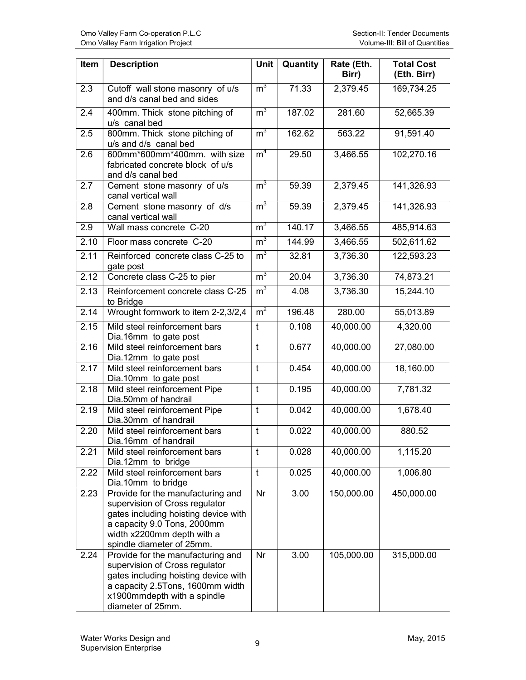| Item | <b>Description</b>                                                                                                                                                                                    | Unit           | Quantity | Rate (Eth.<br>Birr) | <b>Total Cost</b><br>(Eth. Birr) |
|------|-------------------------------------------------------------------------------------------------------------------------------------------------------------------------------------------------------|----------------|----------|---------------------|----------------------------------|
| 2.3  | Cutoff wall stone masonry of u/s<br>and d/s canal bed and sides                                                                                                                                       | m <sup>3</sup> | 71.33    | 2,379.45            | 169,734.25                       |
| 2.4  | 400mm. Thick stone pitching of<br>u/s canal bed                                                                                                                                                       | m <sup>3</sup> | 187.02   | 281.60              | 52,665.39                        |
| 2.5  | 800mm. Thick stone pitching of<br>u/s and d/s canal bed                                                                                                                                               | m <sup>3</sup> | 162.62   | 563.22              | 91,591.40                        |
| 2.6  | 600mm*600mm*400mm. with size<br>fabricated concrete block of u/s<br>and d/s canal bed                                                                                                                 | m <sup>4</sup> | 29.50    | 3,466.55            | 102,270.16                       |
| 2.7  | Cement stone masonry of u/s<br>canal vertical wall                                                                                                                                                    | m <sup>3</sup> | 59.39    | 2,379.45            | 141,326.93                       |
| 2.8  | Cement stone masonry of d/s<br>canal vertical wall                                                                                                                                                    | m <sup>3</sup> | 59.39    | 2,379.45            | 141,326.93                       |
| 2.9  | Wall mass concrete C-20                                                                                                                                                                               | m <sup>3</sup> | 140.17   | 3,466.55            | 485,914.63                       |
| 2.10 | Floor mass concrete C-20                                                                                                                                                                              | m <sup>3</sup> | 144.99   | 3,466.55            | 502,611.62                       |
| 2.11 | Reinforced concrete class C-25 to<br>gate post                                                                                                                                                        | m <sup>3</sup> | 32.81    | 3,736.30            | 122,593.23                       |
| 2.12 | Concrete class C-25 to pier                                                                                                                                                                           | m <sup>3</sup> | 20.04    | 3,736.30            | 74,873.21                        |
| 2.13 | Reinforcement concrete class C-25<br>to Bridge                                                                                                                                                        | m <sup>3</sup> | 4.08     | 3,736.30            | 15,244.10                        |
| 2.14 | Wrought formwork to item 2-2,3/2,4                                                                                                                                                                    | m <sup>2</sup> | 196.48   | 280.00              | 55,013.89                        |
| 2.15 | Mild steel reinforcement bars<br>Dia.16mm to gate post                                                                                                                                                | t              | 0.108    | 40,000.00           | 4,320.00                         |
| 2.16 | Mild steel reinforcement bars<br>Dia.12mm to gate post                                                                                                                                                | t              | 0.677    | 40,000.00           | 27,080.00                        |
| 2.17 | Mild steel reinforcement bars<br>Dia.10mm to gate post                                                                                                                                                | $\mathbf t$    | 0.454    | 40,000.00           | 18,160.00                        |
| 2.18 | Mild steel reinforcement Pipe<br>Dia.50mm of handrail                                                                                                                                                 | t              | 0.195    | 40,000.00           | 7,781.32                         |
| 2.19 | Mild steel reinforcement Pipe<br>Dia.30mm of handrail                                                                                                                                                 | $\mathsf{t}$   | 0.042    | 40,000.00           | 1,678.40                         |
| 2.20 | Mild steel reinforcement bars<br>Dia.16mm of handrail                                                                                                                                                 | $\mathsf{t}$   | 0.022    | 40,000.00           | 880.52                           |
| 2.21 | Mild steel reinforcement bars<br>Dia.12mm to bridge                                                                                                                                                   | t              | 0.028    | 40,000.00           | 1,115.20                         |
| 2.22 | Mild steel reinforcement bars<br>Dia.10mm to bridge                                                                                                                                                   | $\mathsf{t}$   | 0.025    | 40,000.00           | 1,006.80                         |
| 2.23 | Provide for the manufacturing and<br>supervision of Cross regulator<br>gates including hoisting device with<br>a capacity 9.0 Tons, 2000mm<br>width x2200mm depth with a<br>spindle diameter of 25mm. | Nr             | 3.00     | 150,000.00          | 450,000.00                       |
| 2.24 | Provide for the manufacturing and<br>supervision of Cross regulator<br>gates including hoisting device with<br>a capacity 2.5Tons, 1600mm width<br>x1900mmdepth with a spindle<br>diameter of 25mm.   | Nr             | 3.00     | 105,000.00          | 315,000.00                       |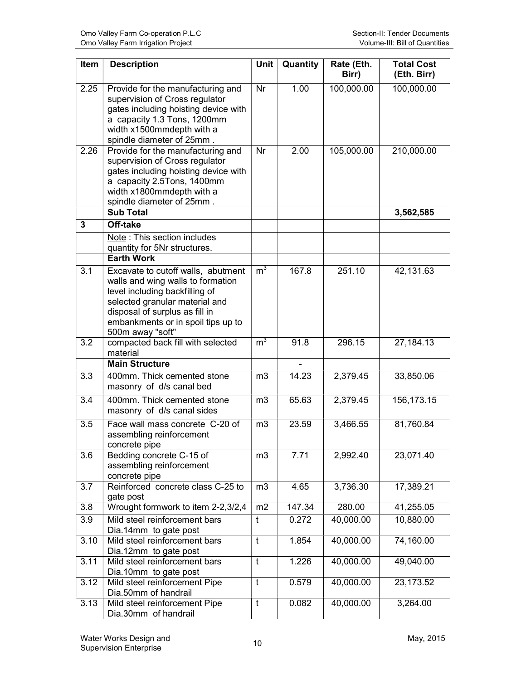| Item | <b>Description</b>                                                                                                                                                                                                                      | <b>Unit</b>    | Quantity | Rate (Eth.<br>Birr) | <b>Total Cost</b><br>(Eth. Birr) |
|------|-----------------------------------------------------------------------------------------------------------------------------------------------------------------------------------------------------------------------------------------|----------------|----------|---------------------|----------------------------------|
| 2.25 | Provide for the manufacturing and<br>supervision of Cross regulator<br>gates including hoisting device with<br>a capacity 1.3 Tons, 1200mm<br>width x1500mmdepth with a<br>spindle diameter of 25mm.                                    | <b>Nr</b>      | 1.00     | 100,000.00          | 100,000.00                       |
| 2.26 | Provide for the manufacturing and<br>supervision of Cross regulator<br>gates including hoisting device with<br>a capacity 2.5Tons, 1400mm<br>width x1800mmdepth with a<br>spindle diameter of 25mm.<br><b>Sub Total</b>                 | Nr             | 2.00     | 105,000.00          | 210,000.00<br>3,562,585          |
| 3    | Off-take                                                                                                                                                                                                                                |                |          |                     |                                  |
|      | Note: This section includes<br>quantity for 5Nr structures.                                                                                                                                                                             |                |          |                     |                                  |
|      | <b>Earth Work</b>                                                                                                                                                                                                                       |                |          |                     |                                  |
| 3.1  | Excavate to cutoff walls, abutment<br>walls and wing walls to formation<br>level including backfilling of<br>selected granular material and<br>disposal of surplus as fill in<br>embankments or in spoil tips up to<br>500m away "soft" | m <sup>3</sup> | 167.8    | 251.10              | 42,131.63                        |
| 3.2  | compacted back fill with selected<br>material                                                                                                                                                                                           | m <sup>3</sup> | 91.8     | 296.15              | 27,184.13                        |
|      | <b>Main Structure</b>                                                                                                                                                                                                                   |                |          |                     |                                  |
| 3.3  | 400mm. Thick cemented stone<br>masonry of d/s canal bed                                                                                                                                                                                 | m <sub>3</sub> | 14.23    | 2,379.45            | 33,850.06                        |
| 3.4  | 400mm. Thick cemented stone<br>masonry of d/s canal sides                                                                                                                                                                               | m <sub>3</sub> | 65.63    | 2,379.45            | 156,173.15                       |
| 3.5  | Face wall mass concrete C-20 of<br>assembling reinforcement<br>concrete pipe                                                                                                                                                            | m <sub>3</sub> | 23.59    | 3,466.55            | 81,760.84                        |
| 3.6  | Bedding concrete C-15 of<br>assembling reinforcement<br>concrete pipe                                                                                                                                                                   | m3             | 7.71     | 2,992.40            | 23,071.40                        |
| 3.7  | Reinforced concrete class C-25 to<br>gate post                                                                                                                                                                                          | m3             | 4.65     | 3,736.30            | 17,389.21                        |
| 3.8  | Wrought formwork to item 2-2,3/2,4                                                                                                                                                                                                      | m2             | 147.34   | 280.00              | 41,255.05                        |
| 3.9  | Mild steel reinforcement bars<br>Dia.14mm to gate post                                                                                                                                                                                  | t              | 0.272    | 40,000.00           | 10,880.00                        |
| 3.10 | Mild steel reinforcement bars<br>Dia.12mm to gate post                                                                                                                                                                                  | $\mathsf{t}$   | 1.854    | 40,000.00           | 74,160.00                        |
| 3.11 | Mild steel reinforcement bars<br>Dia.10mm to gate post                                                                                                                                                                                  | $\mathsf t$    | 1.226    | 40,000.00           | 49,040.00                        |
| 3.12 | Mild steel reinforcement Pipe<br>Dia.50mm of handrail                                                                                                                                                                                   | t              | 0.579    | 40,000.00           | 23,173.52                        |
| 3.13 | Mild steel reinforcement Pipe<br>Dia.30mm of handrail                                                                                                                                                                                   | t              | 0.082    | 40,000.00           | 3,264.00                         |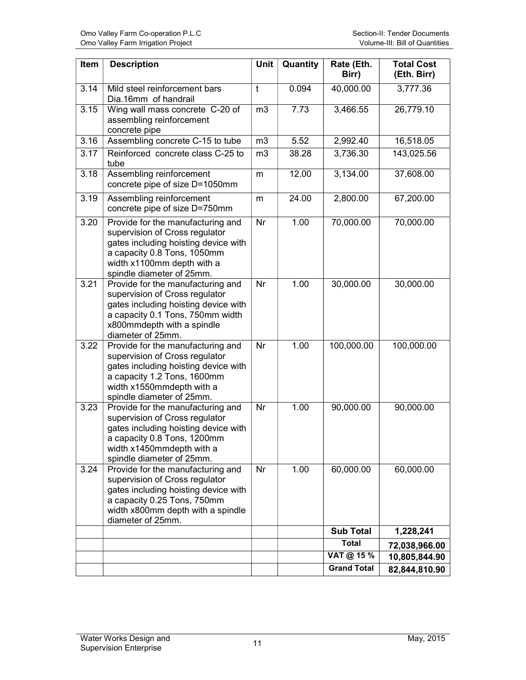| Item | <b>Description</b>                                                                                                                                                                                    | Unit           | Quantity | Rate (Eth.<br>Birr) | <b>Total Cost</b><br>(Eth. Birr) |
|------|-------------------------------------------------------------------------------------------------------------------------------------------------------------------------------------------------------|----------------|----------|---------------------|----------------------------------|
| 3.14 | Mild steel reinforcement bars<br>Dia.16mm of handrail                                                                                                                                                 | t              | 0.094    | 40,000.00           | 3,777.36                         |
| 3.15 | Wing wall mass concrete C-20 of<br>assembling reinforcement<br>concrete pipe                                                                                                                          | m <sub>3</sub> | 7.73     | 3,466.55            | 26,779.10                        |
| 3.16 | Assembling concrete C-15 to tube                                                                                                                                                                      | m <sub>3</sub> | 5.52     | 2,992.40            | 16,518.05                        |
| 3.17 | Reinforced concrete class C-25 to<br>tube                                                                                                                                                             | m <sub>3</sub> | 38.28    | 3,736.30            | 143,025.56                       |
| 3.18 | Assembling reinforcement<br>concrete pipe of size D=1050mm                                                                                                                                            | m              | 12.00    | 3,134.00            | 37,608.00                        |
| 3.19 | Assembling reinforcement<br>concrete pipe of size D=750mm                                                                                                                                             | m              | 24.00    | 2,800.00            | 67,200.00                        |
| 3.20 | Provide for the manufacturing and<br>supervision of Cross regulator<br>gates including hoisting device with<br>a capacity 0.8 Tons, 1050mm<br>width x1100mm depth with a<br>spindle diameter of 25mm. | Nr             | 1.00     | 70,000.00           | 70,000.00                        |
| 3.21 | Provide for the manufacturing and<br>supervision of Cross regulator<br>gates including hoisting device with<br>a capacity 0.1 Tons, 750mm width<br>x800mmdepth with a spindle<br>diameter of 25mm.    | Nr             | 1.00     | 30,000.00           | 30,000.00                        |
| 3.22 | Provide for the manufacturing and<br>supervision of Cross regulator<br>gates including hoisting device with<br>a capacity 1.2 Tons, 1600mm<br>width x1550mmdepth with a<br>spindle diameter of 25mm.  | Nr             | 1.00     | 100,000.00          | 100,000.00                       |
| 3.23 | Provide for the manufacturing and<br>supervision of Cross regulator<br>gates including hoisting device with<br>a capacity 0.8 Tons, 1200mm<br>width x1450mmdepth with a<br>spindle diameter of 25mm.  | Nr             | 1.00     | 90,000.00           | 90,000.00                        |
| 3.24 | Provide for the manufacturing and<br>supervision of Cross regulator<br>gates including hoisting device with<br>a capacity 0.25 Tons, 750mm<br>width x800mm depth with a spindle<br>diameter of 25mm.  | Nr             | 1.00     | 60,000.00           | 60,000.00                        |
|      |                                                                                                                                                                                                       |                |          | <b>Sub Total</b>    | 1,228,241                        |
|      |                                                                                                                                                                                                       |                |          | <b>Total</b>        | 72,038,966.00                    |
|      |                                                                                                                                                                                                       |                |          | VAT @ 15 %          | 10,805,844.90                    |
|      |                                                                                                                                                                                                       |                |          | <b>Grand Total</b>  | 82,844,810.90                    |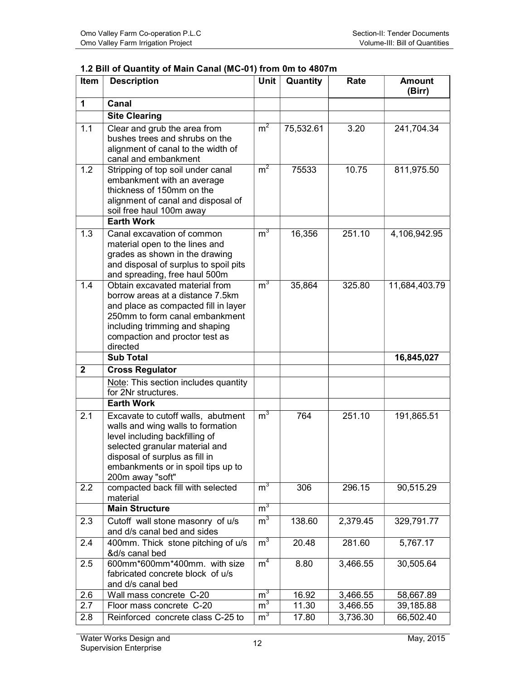| Item         | <b>Description</b>                                                                                                                                                                                                                      | <b>Unit</b>                      | Quantity       | Rate                 | <b>Amount</b><br>(Birr) |
|--------------|-----------------------------------------------------------------------------------------------------------------------------------------------------------------------------------------------------------------------------------------|----------------------------------|----------------|----------------------|-------------------------|
| $\mathbf{1}$ | Canal                                                                                                                                                                                                                                   |                                  |                |                      |                         |
|              | <b>Site Clearing</b>                                                                                                                                                                                                                    |                                  |                |                      |                         |
| 1.1          | Clear and grub the area from<br>bushes trees and shrubs on the<br>alignment of canal to the width of<br>canal and embankment                                                                                                            | m <sup>2</sup>                   | 75,532.61      | 3.20                 | 241,704.34              |
| 1.2          | Stripping of top soil under canal<br>embankment with an average<br>thickness of 150mm on the<br>alignment of canal and disposal of<br>soil free haul 100m away                                                                          | m <sup>2</sup>                   | 75533          | 10.75                | 811,975.50              |
|              | <b>Earth Work</b>                                                                                                                                                                                                                       |                                  |                |                      |                         |
| 1.3          | Canal excavation of common<br>material open to the lines and<br>grades as shown in the drawing<br>and disposal of surplus to spoil pits<br>and spreading, free haul 500m                                                                | m <sup>3</sup>                   | 16,356         | 251.10               | 4,106,942.95            |
| 1.4          | Obtain excavated material from<br>borrow areas at a distance 7.5km<br>and place as compacted fill in layer<br>250mm to form canal embankment<br>including trimming and shaping<br>compaction and proctor test as<br>directed            | m <sup>3</sup>                   | 35,864         | 325.80               | 11,684,403.79           |
|              | <b>Sub Total</b>                                                                                                                                                                                                                        |                                  |                |                      | 16,845,027              |
| $\mathbf{2}$ | <b>Cross Regulator</b>                                                                                                                                                                                                                  |                                  |                |                      |                         |
|              | Note: This section includes quantity<br>for 2Nr structures.                                                                                                                                                                             |                                  |                |                      |                         |
|              | <b>Earth Work</b>                                                                                                                                                                                                                       |                                  |                |                      |                         |
| 2.1          | Excavate to cutoff walls, abutment<br>walls and wing walls to formation<br>level including backfilling of<br>selected granular material and<br>disposal of surplus as fill in<br>embankments or in spoil tips up to<br>200m away "soft" | m <sup>3</sup>                   | 764            | 251.10               | 191,865.51              |
| 2.2          | compacted back fill with selected<br>material                                                                                                                                                                                           | m <sup>3</sup>                   | 306            | 296.15               | 90,515.29               |
|              | <b>Main Structure</b>                                                                                                                                                                                                                   | m <sup>3</sup>                   |                |                      |                         |
| 2.3          | Cutoff wall stone masonry of u/s<br>and d/s canal bed and sides                                                                                                                                                                         | m <sup>3</sup>                   | 138.60         | 2,379.45             | 329,791.77              |
| 2.4          | 400mm. Thick stone pitching of u/s<br>&d/s canal bed                                                                                                                                                                                    | m <sup>3</sup>                   | 20.48          | 281.60               | 5,767.17                |
| 2.5          | 600mm*600mm*400mm. with size<br>fabricated concrete block of u/s<br>and d/s canal bed                                                                                                                                                   | m <sup>4</sup>                   | 8.80           | 3,466.55             | 30,505.64               |
|              |                                                                                                                                                                                                                                         |                                  | 16.92          | 3,466.55             |                         |
| 2.6          | Wall mass concrete C-20                                                                                                                                                                                                                 | $m^3$                            |                |                      | 58,667.89               |
| 2.7<br>2.8   | Floor mass concrete C-20<br>Reinforced concrete class C-25 to                                                                                                                                                                           | m <sup>3</sup><br>m <sup>3</sup> | 11.30<br>17.80 | 3,466.55<br>3,736.30 | 39,185.88<br>66,502.40  |

#### 1.2 Bill of Quantity of Main Canal (MC-01) from 0m to 4807m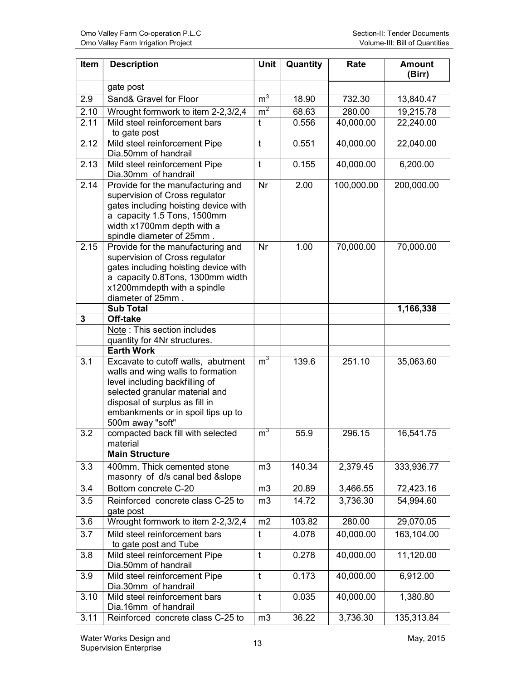| Item         | <b>Description</b>                                                                                                                                                                                                                      | Unit           | Quantity | Rate       | <b>Amount</b><br>(Birr) |
|--------------|-----------------------------------------------------------------------------------------------------------------------------------------------------------------------------------------------------------------------------------------|----------------|----------|------------|-------------------------|
|              | gate post                                                                                                                                                                                                                               |                |          |            |                         |
| 2.9          | Sand& Gravel for Floor                                                                                                                                                                                                                  | $m^3$          | 18.90    | 732.30     | 13,840.47               |
| 2.10         | Wrought formwork to item 2-2,3/2,4                                                                                                                                                                                                      | m <sup>2</sup> | 68.63    | 280.00     | 19,215.78               |
| 2.11         | Mild steel reinforcement bars<br>to gate post                                                                                                                                                                                           | t              | 0.556    | 40,000.00  | 22,240.00               |
| 2.12         | Mild steel reinforcement Pipe<br>Dia.50mm of handrail                                                                                                                                                                                   | $\mathbf t$    | 0.551    | 40,000.00  | 22,040.00               |
| 2.13         | Mild steel reinforcement Pipe<br>Dia.30mm of handrail                                                                                                                                                                                   | $\mathsf{t}$   | 0.155    | 40,000.00  | 6,200.00                |
| 2.14         | Provide for the manufacturing and<br>supervision of Cross regulator<br>gates including hoisting device with<br>a capacity 1.5 Tons, 1500mm<br>width x1700mm depth with a<br>spindle diameter of 25mm.                                   | Nr             | 2.00     | 100,000.00 | 200,000.00              |
| 2.15         | Provide for the manufacturing and<br>supervision of Cross regulator<br>gates including hoisting device with<br>a capacity 0.8Tons, 1300mm width<br>x1200mmdepth with a spindle<br>diameter of 25mm.                                     | Nr             | 1.00     | 70,000.00  | 70,000.00               |
|              | <b>Sub Total</b>                                                                                                                                                                                                                        |                |          |            | 1,166,338               |
| $\mathbf{3}$ | Off-take                                                                                                                                                                                                                                |                |          |            |                         |
|              | Note: This section includes<br>quantity for 4Nr structures.                                                                                                                                                                             |                |          |            |                         |
|              | <b>Earth Work</b>                                                                                                                                                                                                                       |                |          |            |                         |
| 3.1          | Excavate to cutoff walls, abutment<br>walls and wing walls to formation<br>level including backfilling of<br>selected granular material and<br>disposal of surplus as fill in<br>embankments or in spoil tips up to<br>500m away "soft" | m <sup>3</sup> | 139.6    | 251.10     | 35,063.60               |
| 3.2          | compacted back fill with selected<br>material                                                                                                                                                                                           | m <sup>3</sup> | 55.9     | 296.15     | 16,541.75               |
|              | <b>Main Structure</b>                                                                                                                                                                                                                   |                |          |            |                         |
| 3.3          | 400mm. Thick cemented stone<br>masonry of d/s canal bed & slope                                                                                                                                                                         | m <sub>3</sub> | 140.34   | 2,379.45   | 333,936.77              |
| 3.4          | Bottom concrete C-20                                                                                                                                                                                                                    | m3             | 20.89    | 3,466.55   | 72,423.16               |
| 3.5          | Reinforced concrete class C-25 to<br>gate post                                                                                                                                                                                          | m <sub>3</sub> | 14.72    | 3,736.30   | 54,994.60               |
| 3.6          | Wrought formwork to item 2-2,3/2,4                                                                                                                                                                                                      | m2             | 103.82   | 280.00     | 29,070.05               |
| 3.7          | Mild steel reinforcement bars<br>to gate post and Tube                                                                                                                                                                                  | t              | 4.078    | 40,000.00  | 163,104.00              |
| 3.8          | Mild steel reinforcement Pipe<br>Dia.50mm of handrail                                                                                                                                                                                   | $\mathsf{t}$   | 0.278    | 40,000.00  | 11,120.00               |
| 3.9          | Mild steel reinforcement Pipe<br>Dia.30mm of handrail                                                                                                                                                                                   | $\mathsf{t}$   | 0.173    | 40,000.00  | 6,912.00                |
| 3.10         | Mild steel reinforcement bars<br>Dia.16mm of handrail                                                                                                                                                                                   | $\mathsf{t}$   | 0.035    | 40,000.00  | 1,380.80                |
| 3.11         | Reinforced concrete class C-25 to                                                                                                                                                                                                       | m3             | 36.22    | 3,736.30   | 135,313.84              |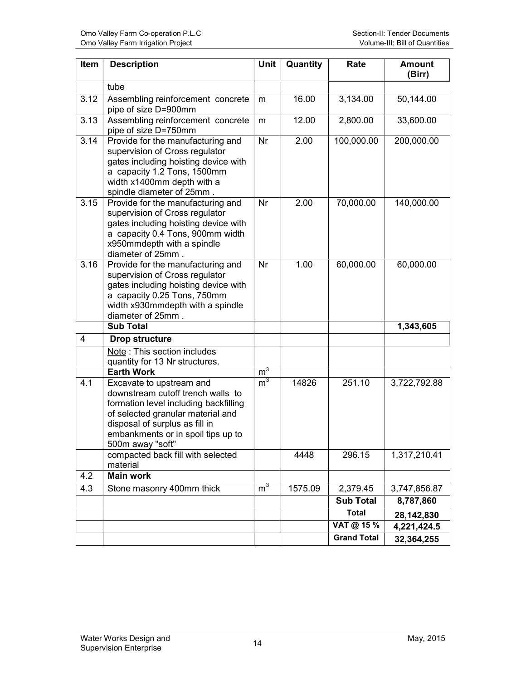| Item                    | <b>Description</b>                                                                                                                                                                                                                      | Unit           | Quantity | Rate               | <b>Amount</b><br>(Birr) |
|-------------------------|-----------------------------------------------------------------------------------------------------------------------------------------------------------------------------------------------------------------------------------------|----------------|----------|--------------------|-------------------------|
|                         | tube                                                                                                                                                                                                                                    |                |          |                    |                         |
| 3.12                    | Assembling reinforcement concrete<br>pipe of size D=900mm                                                                                                                                                                               | m              | 16.00    | 3,134.00           | 50,144.00               |
| 3.13                    | Assembling reinforcement concrete<br>pipe of size D=750mm                                                                                                                                                                               | m              | 12.00    | 2,800.00           | 33,600.00               |
| 3.14                    | Provide for the manufacturing and<br>supervision of Cross regulator<br>gates including hoisting device with<br>a capacity 1.2 Tons, 1500mm<br>width x1400mm depth with a<br>spindle diameter of 25mm.                                   | Nr             | 2.00     | 100,000.00         | 200,000.00              |
| 3.15                    | Provide for the manufacturing and<br>supervision of Cross regulator<br>gates including hoisting device with<br>a capacity 0.4 Tons, 900mm width<br>x950mmdepth with a spindle<br>diameter of 25mm.                                      | Nr             | 2.00     | 70,000.00          | 140,000.00              |
| 3.16                    | Provide for the manufacturing and<br>supervision of Cross regulator<br>gates including hoisting device with<br>a capacity 0.25 Tons, 750mm<br>width x930mmdepth with a spindle<br>diameter of 25mm.                                     | Nr             | 1.00     | 60,000.00          | 60,000.00               |
|                         | <b>Sub Total</b>                                                                                                                                                                                                                        |                |          |                    | 1,343,605               |
| $\overline{\mathbf{4}}$ | <b>Drop structure</b>                                                                                                                                                                                                                   |                |          |                    |                         |
|                         | Note: This section includes<br>quantity for 13 Nr structures.                                                                                                                                                                           |                |          |                    |                         |
|                         | <b>Earth Work</b>                                                                                                                                                                                                                       | m <sup>3</sup> |          |                    |                         |
| 4.1                     | Excavate to upstream and<br>downstream cutoff trench walls to<br>formation level including backfilling<br>of selected granular material and<br>disposal of surplus as fill in<br>embankments or in spoil tips up to<br>500m away "soft" | m <sup>3</sup> | 14826    | 251.10             | 3,722,792.88            |
|                         | compacted back fill with selected<br>material                                                                                                                                                                                           |                | 4448     | 296.15             | 1,317,210.41            |
| 4.2                     | <b>Main work</b>                                                                                                                                                                                                                        |                |          |                    |                         |
| 4.3                     | Stone masonry 400mm thick                                                                                                                                                                                                               | m <sup>3</sup> | 1575.09  | 2,379.45           | 3,747,856.87            |
|                         |                                                                                                                                                                                                                                         |                |          | <b>Sub Total</b>   | 8,787,860               |
|                         |                                                                                                                                                                                                                                         |                |          | <b>Total</b>       | 28,142,830              |
|                         |                                                                                                                                                                                                                                         |                |          | VAT @ 15 %         | 4,221,424.5             |
|                         |                                                                                                                                                                                                                                         |                |          | <b>Grand Total</b> | 32,364,255              |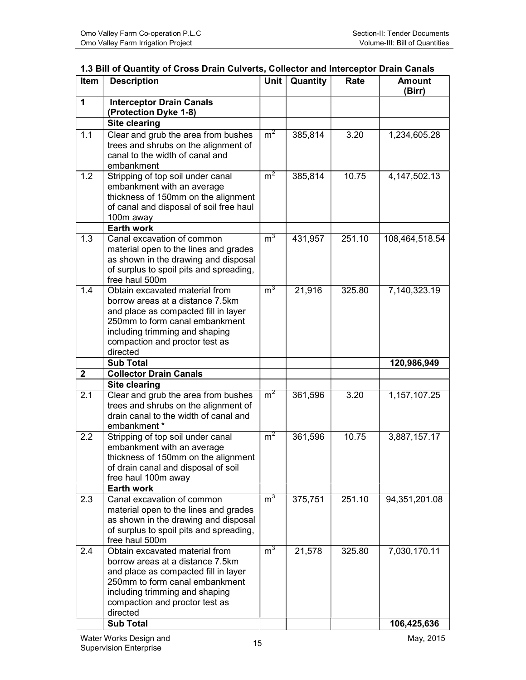| 1.3 Bill of Quantity of Cross Drain Culverts, Collector and Interceptor Drain Canals |  |
|--------------------------------------------------------------------------------------|--|
|                                                                                      |  |

| <b>Interceptor Drain Canals</b><br>$\mathbf 1$<br>(Protection Dyke 1-8)<br><b>Site clearing</b><br>m <sup>2</sup><br>1.1<br>Clear and grub the area from bushes<br>385,814<br>3.20<br>1,234,605.28<br>trees and shrubs on the alignment of<br>canal to the width of canal and<br>embankment<br>m <sup>2</sup><br>1.2<br>Stripping of top soil under canal<br>385,814<br>10.75<br>4,147,502.13<br>embankment with an average<br>thickness of 150mm on the alignment<br>of canal and disposal of soil free haul<br>100m away<br><b>Earth work</b><br>m <sup>3</sup><br>1.3<br>Canal excavation of common<br>431,957<br>251.10<br>108,464,518.54<br>material open to the lines and grades<br>as shown in the drawing and disposal<br>of surplus to spoil pits and spreading,<br>free haul 500m<br>m <sup>3</sup><br>Obtain excavated material from<br>1.4<br>21,916<br>325.80<br>7,140,323.19<br>borrow areas at a distance 7.5km<br>and place as compacted fill in layer<br>250mm to form canal embankment<br>including trimming and shaping<br>compaction and proctor test as<br>directed<br><b>Sub Total</b><br>120,986,949<br><b>Collector Drain Canals</b><br>$\boldsymbol{2}$<br><b>Site clearing</b><br>m <sup>2</sup><br>Clear and grub the area from bushes<br>2.1<br>361,596<br>3.20<br>1,157,107.25<br>trees and shrubs on the alignment of<br>drain canal to the width of canal and<br>embankment*<br>m <sup>2</sup><br>Stripping of top soil under canal<br>2.2<br>361,596<br>10.75<br>3,887,157.17<br>embankment with an average<br>thickness of 150mm on the alignment<br>of drain canal and disposal of soil<br>free haul 100m away<br><b>Earth work</b><br>m <sup>3</sup><br>375,751<br>Canal excavation of common<br>251.10<br>94,351,201.08<br>2.3<br>material open to the lines and grades<br>as shown in the drawing and disposal<br>of surplus to spoil pits and spreading,<br>free haul 500m<br>$m^3$<br>2.4<br>21,578<br>7,030,170.11<br>Obtain excavated material from<br>325.80<br>borrow areas at a distance 7.5km<br>and place as compacted fill in layer<br>250mm to form canal embankment<br>including trimming and shaping<br>compaction and proctor test as<br>directed<br><b>Sub Total</b><br>106,425,636 | Item | <b>Description</b> | <b>Unit</b> | Quantity | Rate | <b>Amount</b><br>(Birr) |
|-----------------------------------------------------------------------------------------------------------------------------------------------------------------------------------------------------------------------------------------------------------------------------------------------------------------------------------------------------------------------------------------------------------------------------------------------------------------------------------------------------------------------------------------------------------------------------------------------------------------------------------------------------------------------------------------------------------------------------------------------------------------------------------------------------------------------------------------------------------------------------------------------------------------------------------------------------------------------------------------------------------------------------------------------------------------------------------------------------------------------------------------------------------------------------------------------------------------------------------------------------------------------------------------------------------------------------------------------------------------------------------------------------------------------------------------------------------------------------------------------------------------------------------------------------------------------------------------------------------------------------------------------------------------------------------------------------------------------------------------------------------------------------------------------------------------------------------------------------------------------------------------------------------------------------------------------------------------------------------------------------------------------------------------------------------------------------------------------------------------------------------------------------------------------------------------------------------------------------------------|------|--------------------|-------------|----------|------|-------------------------|
|                                                                                                                                                                                                                                                                                                                                                                                                                                                                                                                                                                                                                                                                                                                                                                                                                                                                                                                                                                                                                                                                                                                                                                                                                                                                                                                                                                                                                                                                                                                                                                                                                                                                                                                                                                                                                                                                                                                                                                                                                                                                                                                                                                                                                                         |      |                    |             |          |      |                         |
|                                                                                                                                                                                                                                                                                                                                                                                                                                                                                                                                                                                                                                                                                                                                                                                                                                                                                                                                                                                                                                                                                                                                                                                                                                                                                                                                                                                                                                                                                                                                                                                                                                                                                                                                                                                                                                                                                                                                                                                                                                                                                                                                                                                                                                         |      |                    |             |          |      |                         |
|                                                                                                                                                                                                                                                                                                                                                                                                                                                                                                                                                                                                                                                                                                                                                                                                                                                                                                                                                                                                                                                                                                                                                                                                                                                                                                                                                                                                                                                                                                                                                                                                                                                                                                                                                                                                                                                                                                                                                                                                                                                                                                                                                                                                                                         |      |                    |             |          |      |                         |
|                                                                                                                                                                                                                                                                                                                                                                                                                                                                                                                                                                                                                                                                                                                                                                                                                                                                                                                                                                                                                                                                                                                                                                                                                                                                                                                                                                                                                                                                                                                                                                                                                                                                                                                                                                                                                                                                                                                                                                                                                                                                                                                                                                                                                                         |      |                    |             |          |      |                         |
|                                                                                                                                                                                                                                                                                                                                                                                                                                                                                                                                                                                                                                                                                                                                                                                                                                                                                                                                                                                                                                                                                                                                                                                                                                                                                                                                                                                                                                                                                                                                                                                                                                                                                                                                                                                                                                                                                                                                                                                                                                                                                                                                                                                                                                         |      |                    |             |          |      |                         |
|                                                                                                                                                                                                                                                                                                                                                                                                                                                                                                                                                                                                                                                                                                                                                                                                                                                                                                                                                                                                                                                                                                                                                                                                                                                                                                                                                                                                                                                                                                                                                                                                                                                                                                                                                                                                                                                                                                                                                                                                                                                                                                                                                                                                                                         |      |                    |             |          |      |                         |
|                                                                                                                                                                                                                                                                                                                                                                                                                                                                                                                                                                                                                                                                                                                                                                                                                                                                                                                                                                                                                                                                                                                                                                                                                                                                                                                                                                                                                                                                                                                                                                                                                                                                                                                                                                                                                                                                                                                                                                                                                                                                                                                                                                                                                                         |      |                    |             |          |      |                         |
|                                                                                                                                                                                                                                                                                                                                                                                                                                                                                                                                                                                                                                                                                                                                                                                                                                                                                                                                                                                                                                                                                                                                                                                                                                                                                                                                                                                                                                                                                                                                                                                                                                                                                                                                                                                                                                                                                                                                                                                                                                                                                                                                                                                                                                         |      |                    |             |          |      |                         |
|                                                                                                                                                                                                                                                                                                                                                                                                                                                                                                                                                                                                                                                                                                                                                                                                                                                                                                                                                                                                                                                                                                                                                                                                                                                                                                                                                                                                                                                                                                                                                                                                                                                                                                                                                                                                                                                                                                                                                                                                                                                                                                                                                                                                                                         |      |                    |             |          |      |                         |
|                                                                                                                                                                                                                                                                                                                                                                                                                                                                                                                                                                                                                                                                                                                                                                                                                                                                                                                                                                                                                                                                                                                                                                                                                                                                                                                                                                                                                                                                                                                                                                                                                                                                                                                                                                                                                                                                                                                                                                                                                                                                                                                                                                                                                                         |      |                    |             |          |      |                         |
|                                                                                                                                                                                                                                                                                                                                                                                                                                                                                                                                                                                                                                                                                                                                                                                                                                                                                                                                                                                                                                                                                                                                                                                                                                                                                                                                                                                                                                                                                                                                                                                                                                                                                                                                                                                                                                                                                                                                                                                                                                                                                                                                                                                                                                         |      |                    |             |          |      |                         |
|                                                                                                                                                                                                                                                                                                                                                                                                                                                                                                                                                                                                                                                                                                                                                                                                                                                                                                                                                                                                                                                                                                                                                                                                                                                                                                                                                                                                                                                                                                                                                                                                                                                                                                                                                                                                                                                                                                                                                                                                                                                                                                                                                                                                                                         |      |                    |             |          |      |                         |
|                                                                                                                                                                                                                                                                                                                                                                                                                                                                                                                                                                                                                                                                                                                                                                                                                                                                                                                                                                                                                                                                                                                                                                                                                                                                                                                                                                                                                                                                                                                                                                                                                                                                                                                                                                                                                                                                                                                                                                                                                                                                                                                                                                                                                                         |      |                    |             |          |      |                         |
|                                                                                                                                                                                                                                                                                                                                                                                                                                                                                                                                                                                                                                                                                                                                                                                                                                                                                                                                                                                                                                                                                                                                                                                                                                                                                                                                                                                                                                                                                                                                                                                                                                                                                                                                                                                                                                                                                                                                                                                                                                                                                                                                                                                                                                         |      |                    |             |          |      |                         |
|                                                                                                                                                                                                                                                                                                                                                                                                                                                                                                                                                                                                                                                                                                                                                                                                                                                                                                                                                                                                                                                                                                                                                                                                                                                                                                                                                                                                                                                                                                                                                                                                                                                                                                                                                                                                                                                                                                                                                                                                                                                                                                                                                                                                                                         |      |                    |             |          |      |                         |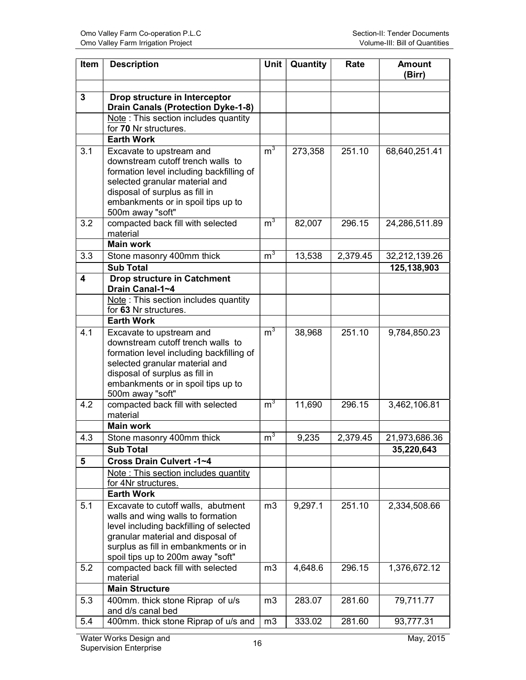| <b>Item</b> | <b>Description</b>                                                                                                                                                                                                                      | Unit           | Quantity | Rate     | <b>Amount</b><br>(Birr) |
|-------------|-----------------------------------------------------------------------------------------------------------------------------------------------------------------------------------------------------------------------------------------|----------------|----------|----------|-------------------------|
|             |                                                                                                                                                                                                                                         |                |          |          |                         |
| 3           | Drop structure in Interceptor<br><b>Drain Canals (Protection Dyke-1-8)</b>                                                                                                                                                              |                |          |          |                         |
|             | Note: This section includes quantity                                                                                                                                                                                                    |                |          |          |                         |
|             | for 70 Nr structures.                                                                                                                                                                                                                   |                |          |          |                         |
|             | <b>Earth Work</b>                                                                                                                                                                                                                       |                |          |          |                         |
| 3.1         | Excavate to upstream and<br>downstream cutoff trench walls to<br>formation level including backfilling of                                                                                                                               | $m^3$          | 273,358  | 251.10   | 68,640,251.41           |
|             | selected granular material and<br>disposal of surplus as fill in<br>embankments or in spoil tips up to                                                                                                                                  |                |          |          |                         |
|             | 500m away "soft"                                                                                                                                                                                                                        |                |          |          |                         |
| 3.2         | compacted back fill with selected<br>material                                                                                                                                                                                           | m <sup>3</sup> | 82,007   | 296.15   | 24,286,511.89           |
|             | <b>Main work</b>                                                                                                                                                                                                                        |                |          |          |                         |
| 3.3         | Stone masonry 400mm thick                                                                                                                                                                                                               | $m^3$          | 13,538   | 2,379.45 | 32,212,139.26           |
|             | <b>Sub Total</b>                                                                                                                                                                                                                        |                |          |          | 125,138,903             |
| 4           | <b>Drop structure in Catchment</b><br>Drain Canal-1~4                                                                                                                                                                                   |                |          |          |                         |
|             | Note: This section includes quantity<br>for 63 Nr structures.                                                                                                                                                                           |                |          |          |                         |
|             | <b>Earth Work</b>                                                                                                                                                                                                                       |                |          |          |                         |
| 4.1         | Excavate to upstream and<br>downstream cutoff trench walls to<br>formation level including backfilling of<br>selected granular material and<br>disposal of surplus as fill in<br>embankments or in spoil tips up to<br>500m away "soft" | m <sup>3</sup> | 38,968   | 251.10   | 9,784,850.23            |
| 4.2         | compacted back fill with selected<br>material                                                                                                                                                                                           | $m^3$          | 11,690   | 296.15   | 3,462,106.81            |
|             | <b>Main work</b>                                                                                                                                                                                                                        |                |          |          |                         |
| 4.3         | Stone masonry 400mm thick                                                                                                                                                                                                               | m <sup>3</sup> | 9,235    | 2,379.45 | 21,973,686.36           |
|             | <b>Sub Total</b>                                                                                                                                                                                                                        |                |          |          | 35,220,643              |
| 5           | Cross Drain Culvert -1~4                                                                                                                                                                                                                |                |          |          |                         |
|             | Note: This section includes quantity<br>for 4Nr structures.                                                                                                                                                                             |                |          |          |                         |
|             | <b>Earth Work</b>                                                                                                                                                                                                                       |                |          |          |                         |
| 5.1         | Excavate to cutoff walls, abutment<br>walls and wing walls to formation<br>level including backfilling of selected<br>granular material and disposal of<br>surplus as fill in embankments or in<br>spoil tips up to 200m away "soft"    | m3             | 9,297.1  | 251.10   | 2,334,508.66            |
| 5.2         | compacted back fill with selected<br>material                                                                                                                                                                                           | m <sub>3</sub> | 4,648.6  | 296.15   | 1,376,672.12            |
|             | <b>Main Structure</b>                                                                                                                                                                                                                   |                |          |          |                         |
| 5.3         | 400mm. thick stone Riprap of u/s<br>and d/s canal bed                                                                                                                                                                                   | m3             | 283.07   | 281.60   | 79,711.77               |
| 5.4         | 400mm. thick stone Riprap of u/s and                                                                                                                                                                                                    | m <sub>3</sub> | 333.02   | 281.60   | 93,777.31               |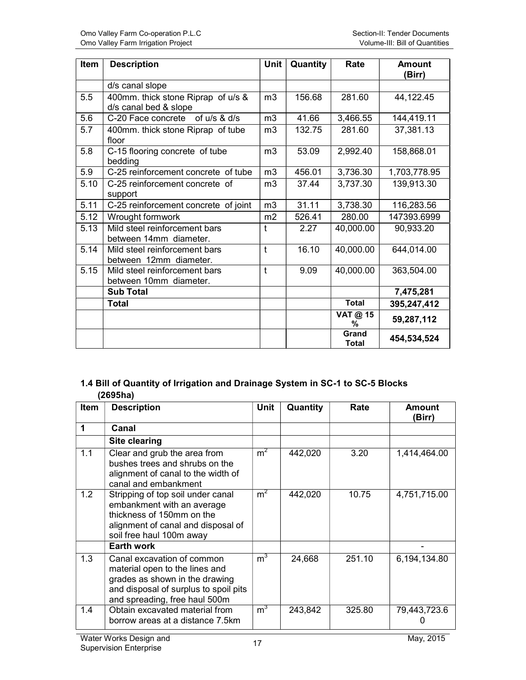| Item | <b>Description</b>                                          | <b>Unit</b>    | Quantity | Rate                  | <b>Amount</b><br>(Birr) |
|------|-------------------------------------------------------------|----------------|----------|-----------------------|-------------------------|
|      | d/s canal slope                                             |                |          |                       |                         |
| 5.5  | 400mm. thick stone Riprap of u/s &<br>d/s canal bed & slope | m <sub>3</sub> | 156.68   | 281.60                | 44,122.45               |
| 5.6  | C-20 Face concrete of u/s & d/s                             | m <sub>3</sub> | 41.66    | 3,466.55              | 144,419.11              |
| 5.7  | 400mm. thick stone Riprap of tube<br>floor                  | m <sub>3</sub> | 132.75   | 281.60                | 37,381.13               |
| 5.8  | C-15 flooring concrete of tube<br>bedding                   | m <sub>3</sub> | 53.09    | 2,992.40              | 158,868.01              |
| 5.9  | C-25 reinforcement concrete of tube                         | m <sub>3</sub> | 456.01   | 3,736.30              | 1,703,778.95            |
| 5.10 | C-25 reinforcement concrete of<br>support                   | m <sub>3</sub> | 37.44    | 3,737.30              | 139,913.30              |
| 5.11 | C-25 reinforcement concrete of joint                        | m <sub>3</sub> | 31.11    | 3,738.30              | 116,283.56              |
| 5.12 | Wrought formwork                                            | m <sub>2</sub> | 526.41   | 280.00                | 147393.6999             |
| 5.13 | Mild steel reinforcement bars<br>between 14mm diameter.     | t              | 2.27     | 40,000.00             | 90,933.20               |
| 5.14 | Mild steel reinforcement bars<br>between 12mm diameter.     | $\mathsf{t}$   | 16.10    | 40,000.00             | 644,014.00              |
| 5.15 | Mild steel reinforcement bars<br>between 10mm diameter.     | t              | 9.09     | 40,000.00             | 363,504.00              |
|      | <b>Sub Total</b>                                            |                |          |                       | 7,475,281               |
|      | <b>Total</b>                                                |                |          | <b>Total</b>          | 395,247,412             |
|      |                                                             |                |          | VAT @ 15<br>%         | 59,287,112              |
|      |                                                             |                |          | Grand<br><b>Total</b> | 454,534,524             |

#### 1.4 Bill of Quantity of Irrigation and Drainage System in SC-1 to SC-5 Blocks (2695ha)

| Item | <b>Description</b>                                                                                                                                                       | Unit           | Quantity | Rate   | Amount<br>(Birr) |
|------|--------------------------------------------------------------------------------------------------------------------------------------------------------------------------|----------------|----------|--------|------------------|
| 1    | Canal                                                                                                                                                                    |                |          |        |                  |
|      | <b>Site clearing</b>                                                                                                                                                     |                |          |        |                  |
| 1.1  | Clear and grub the area from<br>bushes trees and shrubs on the<br>alignment of canal to the width of<br>canal and embankment                                             | m <sup>2</sup> | 442,020  | 3.20   | 1,414,464.00     |
| 1.2  | Stripping of top soil under canal<br>embankment with an average<br>thickness of 150mm on the<br>alignment of canal and disposal of<br>soil free haul 100m away           | m <sup>2</sup> | 442,020  | 10.75  | 4,751,715.00     |
|      | <b>Earth work</b>                                                                                                                                                        |                |          |        |                  |
| 1.3  | Canal excavation of common<br>material open to the lines and<br>grades as shown in the drawing<br>and disposal of surplus to spoil pits<br>and spreading, free haul 500m | $m^3$          | 24,668   | 251.10 | 6,194,134.80     |
| 1.4  | Obtain excavated material from<br>borrow areas at a distance 7.5km                                                                                                       | m <sup>3</sup> | 243,842  | 325.80 | 79,443,723.6     |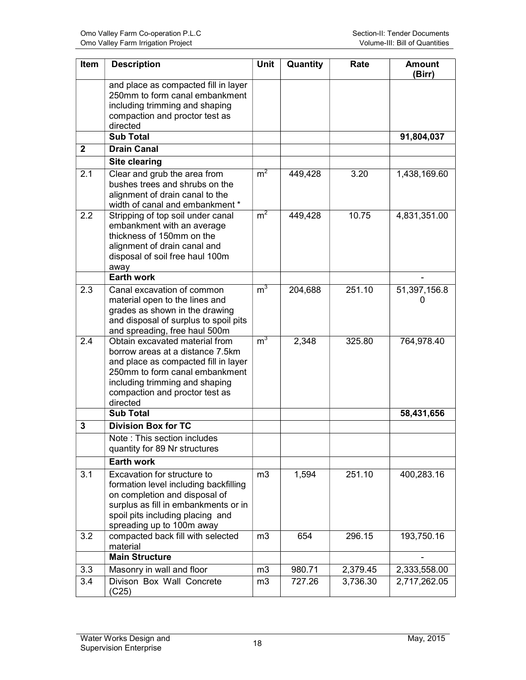| Item         | <b>Description</b>                                                                                                                                                                                                           | <b>Unit</b>    | Quantity | Rate     | <b>Amount</b><br>(Birr) |
|--------------|------------------------------------------------------------------------------------------------------------------------------------------------------------------------------------------------------------------------------|----------------|----------|----------|-------------------------|
|              | and place as compacted fill in layer<br>250mm to form canal embankment<br>including trimming and shaping<br>compaction and proctor test as<br>directed                                                                       |                |          |          |                         |
|              | <b>Sub Total</b>                                                                                                                                                                                                             |                |          |          | 91,804,037              |
| $\mathbf{2}$ | <b>Drain Canal</b>                                                                                                                                                                                                           |                |          |          |                         |
|              | <b>Site clearing</b>                                                                                                                                                                                                         |                |          |          |                         |
| 2.1          | Clear and grub the area from<br>bushes trees and shrubs on the<br>alignment of drain canal to the<br>width of canal and embankment *                                                                                         | m <sup>2</sup> | 449,428  | 3.20     | 1,438,169.60            |
| 2.2          | Stripping of top soil under canal<br>embankment with an average<br>thickness of 150mm on the<br>alignment of drain canal and<br>disposal of soil free haul 100m<br>away                                                      | m <sup>2</sup> | 449,428  | 10.75    | 4,831,351.00            |
|              | <b>Earth work</b>                                                                                                                                                                                                            |                |          |          |                         |
| 2.3          | Canal excavation of common<br>material open to the lines and<br>grades as shown in the drawing<br>and disposal of surplus to spoil pits<br>and spreading, free haul 500m                                                     | m <sup>3</sup> | 204,688  | 251.10   | 51,397,156.8            |
| 2.4          | Obtain excavated material from<br>borrow areas at a distance 7.5km<br>and place as compacted fill in layer<br>250mm to form canal embankment<br>including trimming and shaping<br>compaction and proctor test as<br>directed | m <sup>3</sup> | 2,348    | 325.80   | 764,978.40              |
|              | <b>Sub Total</b>                                                                                                                                                                                                             |                |          |          | 58,431,656              |
| 3            | <b>Division Box for TC</b>                                                                                                                                                                                                   |                |          |          |                         |
|              | Note: This section includes<br>quantity for 89 Nr structures                                                                                                                                                                 |                |          |          |                         |
|              | <b>Earth work</b>                                                                                                                                                                                                            |                |          |          |                         |
| 3.1          | Excavation for structure to<br>formation level including backfilling<br>on completion and disposal of<br>surplus as fill in embankments or in<br>spoil pits including placing and<br>spreading up to 100m away               | m3             | 1,594    | 251.10   | 400,283.16              |
| 3.2          | compacted back fill with selected<br>material                                                                                                                                                                                | m <sub>3</sub> | 654      | 296.15   | 193,750.16              |
|              | <b>Main Structure</b>                                                                                                                                                                                                        |                |          |          |                         |
| 3.3          | Masonry in wall and floor                                                                                                                                                                                                    | m3             | 980.71   | 2,379.45 | 2,333,558.00            |
| 3.4          | Divison Box Wall Concrete<br>(C25)                                                                                                                                                                                           | m3             | 727.26   | 3,736.30 | 2,717,262.05            |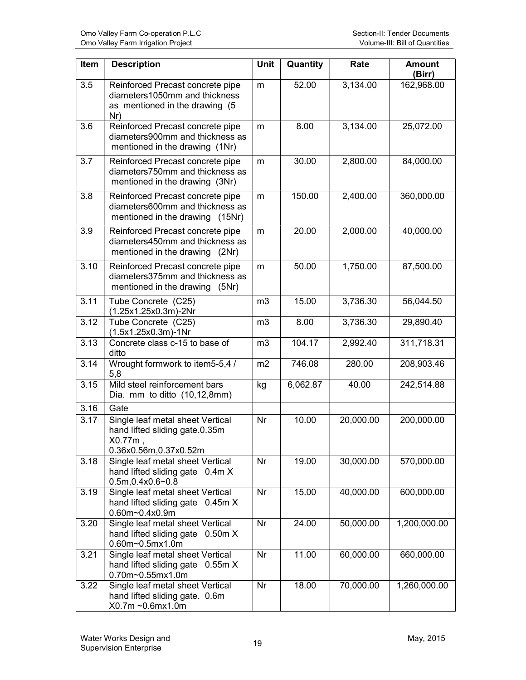| Item | <b>Description</b>                                                                                         | <b>Unit</b>    | Quantity | Rate      | <b>Amount</b><br>(Birr) |
|------|------------------------------------------------------------------------------------------------------------|----------------|----------|-----------|-------------------------|
| 3.5  | Reinforced Precast concrete pipe<br>diameters1050mm and thickness<br>as mentioned in the drawing (5<br>Nr) | m              | 52.00    | 3,134.00  | 162,968.00              |
| 3.6  | Reinforced Precast concrete pipe<br>diameters900mm and thickness as<br>mentioned in the drawing (1Nr)      | m              | 8.00     | 3,134.00  | 25,072.00               |
| 3.7  | Reinforced Precast concrete pipe<br>diameters750mm and thickness as<br>mentioned in the drawing (3Nr)      | m              | 30.00    | 2,800.00  | 84,000.00               |
| 3.8  | Reinforced Precast concrete pipe<br>diameters600mm and thickness as<br>mentioned in the drawing (15Nr)     | m              | 150.00   | 2,400.00  | 360,000.00              |
| 3.9  | Reinforced Precast concrete pipe<br>diameters450mm and thickness as<br>mentioned in the drawing (2Nr)      | m              | 20.00    | 2,000.00  | 40,000.00               |
| 3.10 | Reinforced Precast concrete pipe<br>diameters375mm and thickness as<br>mentioned in the drawing (5Nr)      | m              | 50.00    | 1,750.00  | 87,500.00               |
| 3.11 | Tube Concrete (C25)<br>(1.25x1.25x0.3m)-2Nr                                                                | m <sub>3</sub> | 15.00    | 3,736.30  | 56,044.50               |
| 3.12 | Tube Concrete (C25)<br>(1.5x1.25x0.3m)-1Nr                                                                 | m3             | 8.00     | 3,736.30  | 29,890.40               |
| 3.13 | Concrete class c-15 to base of<br>ditto                                                                    | m <sub>3</sub> | 104.17   | 2,992.40  | 311,718.31              |
| 3.14 | Wrought formwork to item 5-5,4 /<br>5,8                                                                    | m2             | 746.08   | 280.00    | 208,903.46              |
| 3.15 | Mild steel reinforcement bars<br>Dia. mm to ditto $(10, 12, 8mm)$                                          | kg             | 6,062.87 | 40.00     | 242,514.88              |
| 3.16 | Gate                                                                                                       |                |          |           |                         |
| 3.17 | Single leaf metal sheet Vertical<br>hand lifted sliding gate.0.35m<br>X0.77m,<br>0.36x0.56m,0.37x0.52m     | Nr             | 10.00    | 20,000.00 | 200,000.00              |
| 3.18 | Single leaf metal sheet Vertical<br>hand lifted sliding gate 0.4m X<br>$0.5m, 0.4x0.6 - 0.8$               | Nr             | 19.00    | 30,000.00 | 570,000.00              |
| 3.19 | Single leaf metal sheet Vertical<br>hand lifted sliding gate 0.45m X<br>0.60m~0.4x0.9m                     | Nr             | 15.00    | 40,000.00 | 600,000.00              |
| 3.20 | Single leaf metal sheet Vertical<br>hand lifted sliding gate 0.50m X<br>0.60m~0.5mx1.0m                    | Nr             | 24.00    | 50,000.00 | 1,200,000.00            |
| 3.21 | Single leaf metal sheet Vertical<br>hand lifted sliding gate 0.55m X<br>0.70m~0.55mx1.0m                   | Nr             | 11.00    | 60,000.00 | 660,000.00              |
| 3.22 | Single leaf metal sheet Vertical<br>hand lifted sliding gate. 0.6m<br>X0.7m~0.6mx1.0m                      | Nr             | 18.00    | 70,000.00 | 1,260,000.00            |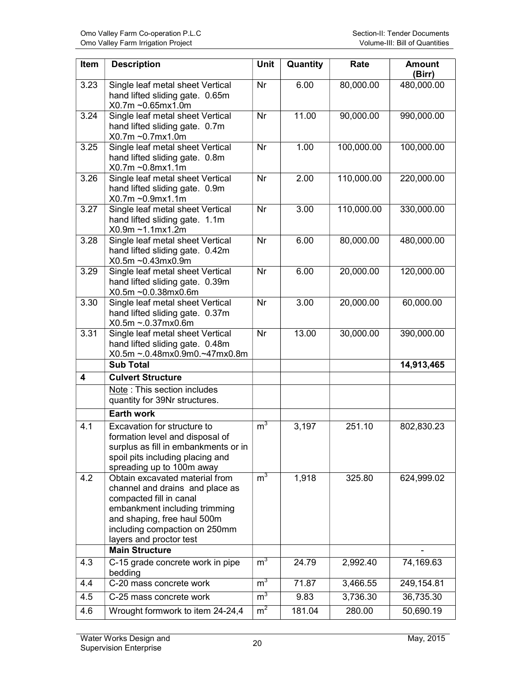| Item | <b>Description</b>                                                                                                                                                                                                       | <b>Unit</b>    | Quantity | Rate       | <b>Amount</b><br>(Birr) |
|------|--------------------------------------------------------------------------------------------------------------------------------------------------------------------------------------------------------------------------|----------------|----------|------------|-------------------------|
| 3.23 | Single leaf metal sheet Vertical<br>hand lifted sliding gate. 0.65m<br>X0.7m~0.65mx1.0m                                                                                                                                  | Nr             | 6.00     | 80,000.00  | 480,000.00              |
| 3.24 | Single leaf metal sheet Vertical<br>hand lifted sliding gate. 0.7m<br>X0.7m~0.7mx1.0m                                                                                                                                    | Nr             | 11.00    | 90,000.00  | 990,000.00              |
| 3.25 | Single leaf metal sheet Vertical<br>hand lifted sliding gate. 0.8m<br>X0.7m~0.8mx1.1m                                                                                                                                    | Nr             | 1.00     | 100,000.00 | 100,000.00              |
| 3.26 | Single leaf metal sheet Vertical<br>hand lifted sliding gate. 0.9m<br>X0.7m~0.9mx1.1m                                                                                                                                    | Nr             | 2.00     | 110,000.00 | 220,000.00              |
| 3.27 | Single leaf metal sheet Vertical<br>hand lifted sliding gate. 1.1m<br>X0.9m~1.1mx1.2m                                                                                                                                    | Nr             | 3.00     | 110,000.00 | 330,000.00              |
| 3.28 | Single leaf metal sheet Vertical<br>hand lifted sliding gate. 0.42m<br>X0.5m~0.43mx0.9m                                                                                                                                  | Nr             | 6.00     | 80,000.00  | 480,000.00              |
| 3.29 | Single leaf metal sheet Vertical<br>hand lifted sliding gate. 0.39m<br>X0.5m~0.0.38mx0.6m                                                                                                                                | Nr             | 6.00     | 20,000.00  | 120,000.00              |
| 3.30 | Single leaf metal sheet Vertical<br>hand lifted sliding gate. 0.37m<br>X0.5m~.0.37mx0.6m                                                                                                                                 | Nr             | 3.00     | 20,000.00  | 60,000.00               |
| 3.31 | Single leaf metal sheet Vertical<br>hand lifted sliding gate. 0.48m<br>X0.5m~.0.48mx0.9m0.~47mx0.8m                                                                                                                      | Nr             | 13.00    | 30,000.00  | 390,000.00              |
|      | <b>Sub Total</b>                                                                                                                                                                                                         |                |          |            | 14,913,465              |
| 4    | <b>Culvert Structure</b>                                                                                                                                                                                                 |                |          |            |                         |
|      | Note: This section includes<br>quantity for 39Nr structures.                                                                                                                                                             |                |          |            |                         |
|      | <b>Earth work</b>                                                                                                                                                                                                        |                |          |            |                         |
| 4.1  | Excavation for structure to<br>formation level and disposal of<br>surplus as fill in embankments or in<br>spoil pits including placing and<br>spreading up to 100m away                                                  | m <sup>3</sup> | 3,197    | 251.10     | 802,830.23              |
| 4.2  | Obtain excavated material from<br>channel and drains and place as<br>compacted fill in canal<br>embankment including trimming<br>and shaping, free haul 500m<br>including compaction on 250mm<br>layers and proctor test | m <sup>3</sup> | 1,918    | 325.80     | 624,999.02              |
|      | <b>Main Structure</b>                                                                                                                                                                                                    |                |          |            |                         |
| 4.3  | C-15 grade concrete work in pipe<br>bedding                                                                                                                                                                              | m <sup>3</sup> | 24.79    | 2,992.40   | 74,169.63               |
| 4.4  | C-20 mass concrete work                                                                                                                                                                                                  | m <sup>3</sup> | 71.87    | 3,466.55   | 249,154.81              |
| 4.5  | C-25 mass concrete work                                                                                                                                                                                                  | m <sup>3</sup> | 9.83     | 3,736.30   | 36,735.30               |
| 4.6  | Wrought formwork to item 24-24,4                                                                                                                                                                                         | m <sup>2</sup> | 181.04   | 280.00     | 50,690.19               |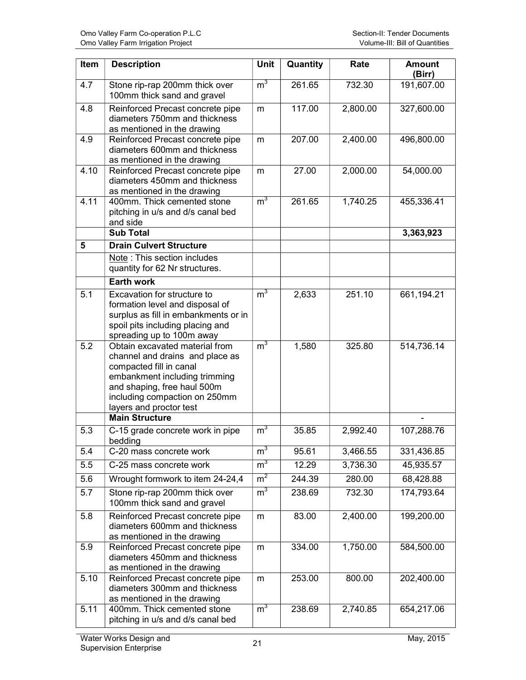| Item | <b>Description</b>                                                                                                                                                                                                       | Unit           | Quantity | Rate     | <b>Amount</b><br>(Birr) |
|------|--------------------------------------------------------------------------------------------------------------------------------------------------------------------------------------------------------------------------|----------------|----------|----------|-------------------------|
| 4.7  | Stone rip-rap 200mm thick over<br>100mm thick sand and gravel                                                                                                                                                            | m <sup>3</sup> | 261.65   | 732.30   | 191,607.00              |
| 4.8  | Reinforced Precast concrete pipe<br>diameters 750mm and thickness<br>as mentioned in the drawing                                                                                                                         | m              | 117.00   | 2,800.00 | 327,600.00              |
| 4.9  | Reinforced Precast concrete pipe<br>diameters 600mm and thickness<br>as mentioned in the drawing                                                                                                                         | m              | 207.00   | 2,400.00 | 496,800.00              |
| 4.10 | Reinforced Precast concrete pipe<br>diameters 450mm and thickness<br>as mentioned in the drawing                                                                                                                         | m              | 27.00    | 2,000.00 | 54,000.00               |
| 4.11 | 400mm. Thick cemented stone<br>pitching in u/s and d/s canal bed<br>and side                                                                                                                                             | m <sup>3</sup> | 261.65   | 1,740.25 | 455,336.41              |
|      | <b>Sub Total</b>                                                                                                                                                                                                         |                |          |          | 3,363,923               |
| 5    | <b>Drain Culvert Structure</b>                                                                                                                                                                                           |                |          |          |                         |
|      | Note: This section includes<br>quantity for 62 Nr structures.                                                                                                                                                            |                |          |          |                         |
|      | Earth work                                                                                                                                                                                                               |                |          |          |                         |
| 5.1  | Excavation for structure to<br>formation level and disposal of<br>surplus as fill in embankments or in<br>spoil pits including placing and<br>spreading up to 100m away                                                  | m <sup>3</sup> | 2,633    | 251.10   | 661,194.21              |
| 5.2  | Obtain excavated material from<br>channel and drains and place as<br>compacted fill in canal<br>embankment including trimming<br>and shaping, free haul 500m<br>including compaction on 250mm<br>layers and proctor test | m <sup>3</sup> | 1,580    | 325.80   | 514,736.14              |
|      | <b>Main Structure</b>                                                                                                                                                                                                    |                |          |          |                         |
| 5.3  | C-15 grade concrete work in pipe<br>bedding                                                                                                                                                                              | m <sup>3</sup> | 35.85    | 2,992.40 | 107,288.76              |
| 5.4  | C-20 mass concrete work                                                                                                                                                                                                  | m <sup>3</sup> | 95.61    | 3,466.55 | 331,436.85              |
| 5.5  | C-25 mass concrete work                                                                                                                                                                                                  | m <sup>3</sup> | 12.29    | 3,736.30 | 45,935.57               |
| 5.6  | Wrought formwork to item 24-24,4                                                                                                                                                                                         | m <sup>2</sup> | 244.39   | 280.00   | 68,428.88               |
| 5.7  | Stone rip-rap 200mm thick over<br>100mm thick sand and gravel                                                                                                                                                            | m <sup>3</sup> | 238.69   | 732.30   | 174,793.64              |
| 5.8  | Reinforced Precast concrete pipe<br>diameters 600mm and thickness<br>as mentioned in the drawing                                                                                                                         | m              | 83.00    | 2,400.00 | 199,200.00              |
| 5.9  | Reinforced Precast concrete pipe<br>diameters 450mm and thickness<br>as mentioned in the drawing                                                                                                                         | m              | 334.00   | 1,750.00 | 584,500.00              |
| 5.10 | Reinforced Precast concrete pipe<br>diameters 300mm and thickness<br>as mentioned in the drawing                                                                                                                         | m              | 253.00   | 800.00   | 202,400.00              |
| 5.11 | 400mm. Thick cemented stone<br>pitching in u/s and d/s canal bed                                                                                                                                                         | m <sup>3</sup> | 238.69   | 2,740.85 | 654,217.06              |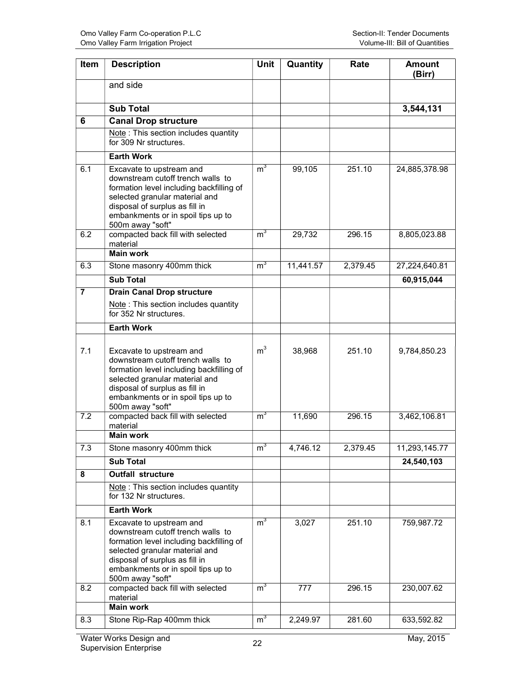| Item           | <b>Description</b>                                                                                                                                                                                                                      | <b>Unit</b>    | Quantity  | Rate     | <b>Amount</b><br>(Birr) |
|----------------|-----------------------------------------------------------------------------------------------------------------------------------------------------------------------------------------------------------------------------------------|----------------|-----------|----------|-------------------------|
|                | and side                                                                                                                                                                                                                                |                |           |          |                         |
|                | <b>Sub Total</b>                                                                                                                                                                                                                        |                |           |          | 3,544,131               |
| 6              | <b>Canal Drop structure</b>                                                                                                                                                                                                             |                |           |          |                         |
|                | Note: This section includes quantity<br>for 309 Nr structures.                                                                                                                                                                          |                |           |          |                         |
|                | <b>Earth Work</b>                                                                                                                                                                                                                       |                |           |          |                         |
| 6.1            | Excavate to upstream and<br>downstream cutoff trench walls to<br>formation level including backfilling of<br>selected granular material and<br>disposal of surplus as fill in<br>embankments or in spoil tips up to<br>500m away "soft" | m <sup>3</sup> | 99,105    | 251.10   | 24,885,378.98           |
| 6.2            | compacted back fill with selected<br>material<br><b>Main work</b>                                                                                                                                                                       | m <sup>3</sup> | 29,732    | 296.15   | 8,805,023.88            |
| 6.3            | Stone masonry 400mm thick                                                                                                                                                                                                               | m <sup>3</sup> | 11,441.57 | 2,379.45 | 27,224,640.81           |
|                | <b>Sub Total</b>                                                                                                                                                                                                                        |                |           |          | 60,915,044              |
| $\overline{7}$ | <b>Drain Canal Drop structure</b>                                                                                                                                                                                                       |                |           |          |                         |
|                | Note: This section includes quantity<br>for 352 Nr structures.                                                                                                                                                                          |                |           |          |                         |
|                | <b>Earth Work</b>                                                                                                                                                                                                                       |                |           |          |                         |
| 7.1            | Excavate to upstream and<br>downstream cutoff trench walls to<br>formation level including backfilling of<br>selected granular material and<br>disposal of surplus as fill in<br>embankments or in spoil tips up to<br>500m away "soft" | m <sup>3</sup> | 38,968    | 251.10   | 9,784,850.23            |
| 7.2            | compacted back fill with selected<br>material                                                                                                                                                                                           | m <sup>3</sup> | 11,690    | 296.15   | 3,462,106.81            |
|                | <b>Main work</b>                                                                                                                                                                                                                        |                |           |          |                         |
| 7.3            | Stone masonry 400mm thick                                                                                                                                                                                                               | m <sup>3</sup> | 4,746.12  | 2,379.45 | 11,293,145.77           |
|                | <b>Sub Total</b>                                                                                                                                                                                                                        |                |           |          | 24,540,103              |
| 8              | <b>Outfall structure</b>                                                                                                                                                                                                                |                |           |          |                         |
|                | Note: This section includes quantity<br>for 132 Nr structures.                                                                                                                                                                          |                |           |          |                         |
|                | <b>Earth Work</b>                                                                                                                                                                                                                       |                |           |          |                         |
| 8.1            | Excavate to upstream and<br>downstream cutoff trench walls to<br>formation level including backfilling of<br>selected granular material and<br>disposal of surplus as fill in<br>embankments or in spoil tips up to<br>500m away "soft" | m <sup>3</sup> | 3,027     | 251.10   | 759,987.72              |
| 8.2            | compacted back fill with selected<br>material                                                                                                                                                                                           | m <sup>3</sup> | 777       | 296.15   | 230,007.62              |
|                | <b>Main work</b>                                                                                                                                                                                                                        |                |           |          |                         |
| 8.3            | Stone Rip-Rap 400mm thick                                                                                                                                                                                                               | m <sup>3</sup> | 2,249.97  | 281.60   | 633,592.82              |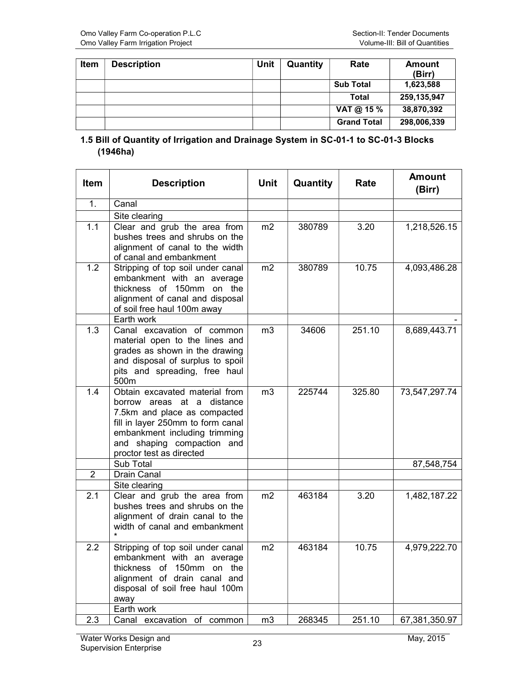| <b>Item</b> | <b>Description</b> | Unit | Quantity | Rate               | <b>Amount</b><br>(Birr) |
|-------------|--------------------|------|----------|--------------------|-------------------------|
|             |                    |      |          | <b>Sub Total</b>   | 1,623,588               |
|             |                    |      |          | Total              | 259,135,947             |
|             |                    |      |          | VAT @ 15 $%$       | 38,870,392              |
|             |                    |      |          | <b>Grand Total</b> | 298,006,339             |

#### 1.5 Bill of Quantity of Irrigation and Drainage System in SC-01-1 to SC-01-3 Blocks (1946ha)

| Item             | <b>Description</b>                                                                                                                                                                                                           | <b>Unit</b>    | Quantity | Rate   | <b>Amount</b><br>(Birr) |
|------------------|------------------------------------------------------------------------------------------------------------------------------------------------------------------------------------------------------------------------------|----------------|----------|--------|-------------------------|
| 1.               | Canal                                                                                                                                                                                                                        |                |          |        |                         |
|                  | Site clearing                                                                                                                                                                                                                |                |          |        |                         |
| 1.1              | Clear and grub the area from<br>bushes trees and shrubs on the<br>alignment of canal to the width<br>of canal and embankment                                                                                                 | m <sub>2</sub> | 380789   | 3.20   | 1,218,526.15            |
| $\overline{1.2}$ | Stripping of top soil under canal<br>embankment with an average<br>thickness of 150mm on the<br>alignment of canal and disposal<br>of soil free haul 100m away<br>Earth work                                                 | m2             | 380789   | 10.75  | 4,093,486.28            |
| 1.3              | Canal excavation of common<br>material open to the lines and<br>grades as shown in the drawing<br>and disposal of surplus to spoil<br>pits and spreading, free haul<br>500m                                                  | m <sub>3</sub> | 34606    | 251.10 | 8,689,443.71            |
| 1.4              | Obtain excavated material from<br>borrow areas at a distance<br>7.5km and place as compacted<br>fill in layer 250mm to form canal<br>embankment including trimming<br>and shaping compaction and<br>proctor test as directed | m <sub>3</sub> | 225744   | 325.80 | 73,547,297.74           |
|                  | Sub Total                                                                                                                                                                                                                    |                |          |        | 87,548,754              |
| $\overline{2}$   | <b>Drain Canal</b>                                                                                                                                                                                                           |                |          |        |                         |
|                  | Site clearing                                                                                                                                                                                                                |                |          |        |                         |
| 2.1              | Clear and grub the area from<br>bushes trees and shrubs on the<br>alignment of drain canal to the<br>width of canal and embankment                                                                                           | m <sub>2</sub> | 463184   | 3.20   | 1,482,187.22            |
| 2.2              | Stripping of top soil under canal<br>embankment with an average<br>thickness of 150mm on the<br>alignment of drain canal and<br>disposal of soil free haul 100m<br>$a$ way                                                   | m2             | 463184   | 10.75  | 4,979,222.70            |
|                  | Earth work                                                                                                                                                                                                                   |                |          |        |                         |
| 2.3              | Canal excavation of common                                                                                                                                                                                                   | m3             | 268345   | 251.10 | 67,381,350.97           |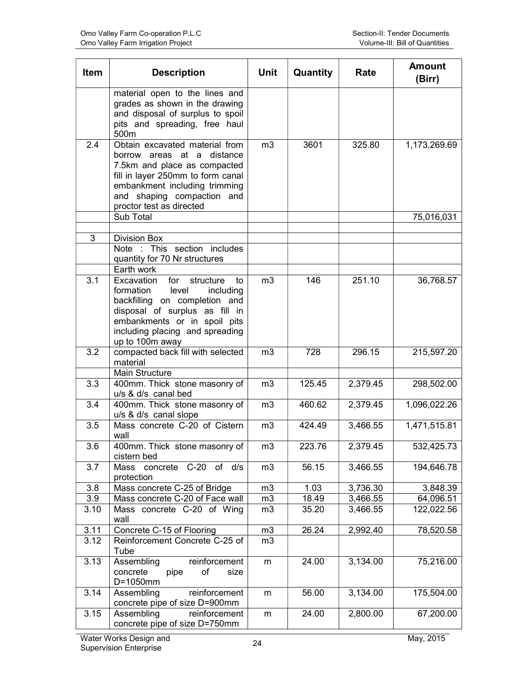| Item        | <b>Description</b>                                                                                                                                                                                                           | <b>Unit</b>    | Quantity       | Rate                 | <b>Amount</b><br>(Birr) |
|-------------|------------------------------------------------------------------------------------------------------------------------------------------------------------------------------------------------------------------------------|----------------|----------------|----------------------|-------------------------|
|             | material open to the lines and<br>grades as shown in the drawing<br>and disposal of surplus to spoil<br>pits and spreading, free haul<br>500m                                                                                |                |                |                      |                         |
| 2.4         | Obtain excavated material from<br>borrow areas at a distance<br>7.5km and place as compacted<br>fill in layer 250mm to form canal<br>embankment including trimming<br>and shaping compaction and<br>proctor test as directed | m <sub>3</sub> | 3601           | 325.80               | 1,173,269.69            |
|             | Sub Total                                                                                                                                                                                                                    |                |                |                      | 75,016,031              |
| 3           | <b>Division Box</b>                                                                                                                                                                                                          |                |                |                      |                         |
|             | Note : This section includes<br>quantity for 70 Nr structures                                                                                                                                                                |                |                |                      |                         |
| 3.1         | Earth work<br>Excavation<br>for<br>structure<br>to                                                                                                                                                                           | m <sub>3</sub> | 146            | 251.10               | 36,768.57               |
|             | level<br>formation<br>including<br>backfilling on completion and<br>disposal of surplus as fill in<br>embankments or in spoil pits<br>including placing and spreading<br>up to 100m away                                     |                |                |                      |                         |
| 3.2         | compacted back fill with selected<br>material<br><b>Main Structure</b>                                                                                                                                                       | m <sub>3</sub> | 728            | 296.15               | 215,597.20              |
| 3.3         | 400mm. Thick stone masonry of<br>u/s & d/s canal bed                                                                                                                                                                         | m <sub>3</sub> | 125.45         | 2,379.45             | 298,502.00              |
| 3.4         | 400mm. Thick stone masonry of<br>u/s & d/s canal slope                                                                                                                                                                       | m <sub>3</sub> | 460.62         | 2,379.45             | 1,096,022.26            |
| 3.5         | Mass concrete C-20 of Cistern<br>wall                                                                                                                                                                                        | m3             | 424.49         | 3,466.55             | 1,471,515.81            |
| 3.6         | 400mm. Thick stone masonry of<br>cistern bed                                                                                                                                                                                 | m3             | 223.76         | 2,379.45             | 532,425.73              |
| 3.7         | Mass concrete C-20 of d/s<br>protection                                                                                                                                                                                      | m3             | 56.15          | 3,466.55             | 194,646.78              |
| 3.8         | Mass concrete C-25 of Bridge                                                                                                                                                                                                 | m3             | 1.03           | 3,736.30             | 3,848.39                |
| 3.9<br>3.10 | Mass concrete C-20 of Face wall<br>Mass concrete C-20 of Wing<br>wall                                                                                                                                                        | m3<br>m3       | 18.49<br>35.20 | 3,466.55<br>3,466.55 | 64,096.51<br>122,022.56 |
| 3.11        | Concrete C-15 of Flooring                                                                                                                                                                                                    | m3             | 26.24          | 2,992.40             | 78,520.58               |
| 3.12        | Reinforcement Concrete C-25 of<br>Tube                                                                                                                                                                                       | m <sub>3</sub> |                |                      |                         |
| 3.13        | Assembling<br>reinforcement<br>concrete<br>of<br>size<br>pipe<br>D=1050mm                                                                                                                                                    | m              | 24.00          | 3,134.00             | 75,216.00               |
| 3.14        | reinforcement<br>Assembling<br>concrete pipe of size D=900mm                                                                                                                                                                 | m              | 56.00          | 3,134.00             | 175,504.00              |
| 3.15        | Assembling<br>reinforcement<br>concrete pipe of size D=750mm                                                                                                                                                                 | m              | 24.00          | 2,800.00             | 67,200.00               |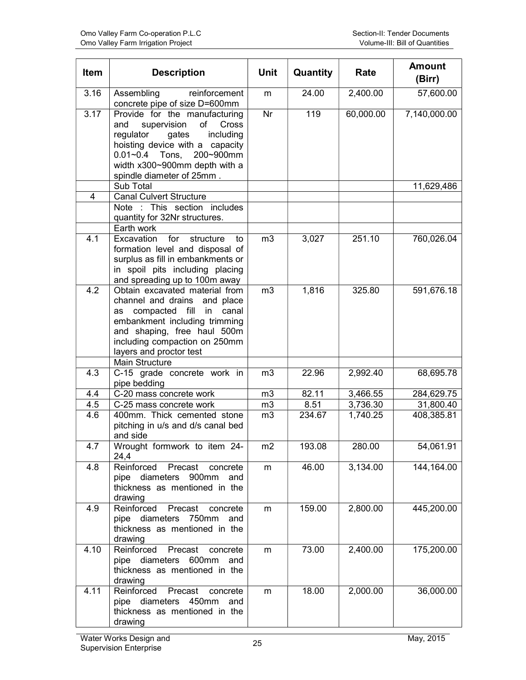| <b>Item</b>       | <b>Description</b>                                                                                                                                                                                                                               | <b>Unit</b>              | Quantity | Rate      | <b>Amount</b><br>(Birr) |
|-------------------|--------------------------------------------------------------------------------------------------------------------------------------------------------------------------------------------------------------------------------------------------|--------------------------|----------|-----------|-------------------------|
| $\overline{3.16}$ | Assembling<br>reinforcement<br>concrete pipe of size D=600mm                                                                                                                                                                                     | m                        | 24.00    | 2,400.00  | 57,600.00               |
| 3.17              | Provide for the manufacturing<br>supervision<br>of<br>Cross<br>and<br>including<br>regulator<br>gates<br>hoisting device with a capacity<br>0.01~0.4 Tons, 200~900mm<br>width x300~900mm depth with a<br>spindle diameter of 25mm.               | $\overline{\mathsf{Nr}}$ | 119      | 60,000.00 | 7,140,000.00            |
|                   | Sub Total                                                                                                                                                                                                                                        |                          |          |           | 11,629,486              |
| 4                 | <b>Canal Culvert Structure</b><br>Note : This section includes<br>quantity for 32Nr structures.<br>Earth work                                                                                                                                    |                          |          |           |                         |
| 4.1               | for<br>Excavation<br>structure<br>to<br>formation level and disposal of<br>surplus as fill in embankments or<br>in spoil pits including placing<br>and spreading up to 100m away                                                                 | m <sub>3</sub>           | 3,027    | 251.10    | 760,026.04              |
| 4.2               | Obtain excavated material from<br>channel and drains and place<br>compacted fill in<br>canal<br>as<br>embankment including trimming<br>and shaping, free haul 500m<br>including compaction on 250mm<br>layers and proctor test<br>Main Structure | m <sub>3</sub>           | 1,816    | 325.80    | 591,676.18              |
| 4.3               | C-15 grade concrete work in<br>pipe bedding                                                                                                                                                                                                      | m <sub>3</sub>           | 22.96    | 2,992.40  | 68,695.78               |
| 4.4               | C-20 mass concrete work                                                                                                                                                                                                                          | m3                       | 82.11    | 3,466.55  | 284,629.75              |
| 4.5               | C-25 mass concrete work                                                                                                                                                                                                                          | m3                       | 8.51     | 3,736.30  | 31,800.40               |
| 4.6               | 400mm. Thick cemented stone<br>pitching in u/s and d/s canal bed<br>and side                                                                                                                                                                     | m3                       | 234.67   | 1,740.25  | 408,385.81              |
| 4.7               | Wrought formwork to item 24-<br>24,4                                                                                                                                                                                                             | m2                       | 193.08   | 280.00    | 54,061.91               |
| 4.8               | Reinforced<br>Precast<br>concrete<br>pipe diameters 900mm<br>and<br>thickness as mentioned in the<br>drawing                                                                                                                                     | m                        | 46.00    | 3,134.00  | 144,164.00              |
| 4.9               | Reinforced<br>Precast<br>concrete<br>pipe diameters 750mm<br>and<br>thickness as mentioned in the<br>drawing                                                                                                                                     | m                        | 159.00   | 2,800.00  | 445,200.00              |
| 4.10              | Reinforced<br>Precast<br>concrete<br>pipe diameters 600mm<br>and<br>thickness as mentioned in the<br>drawing                                                                                                                                     | m                        | 73.00    | 2,400.00  | 175,200.00              |
| 4.11              | Reinforced<br>Precast<br>concrete<br>pipe diameters 450mm<br>and<br>thickness as mentioned in the<br>drawing                                                                                                                                     | m                        | 18.00    | 2,000.00  | 36,000.00               |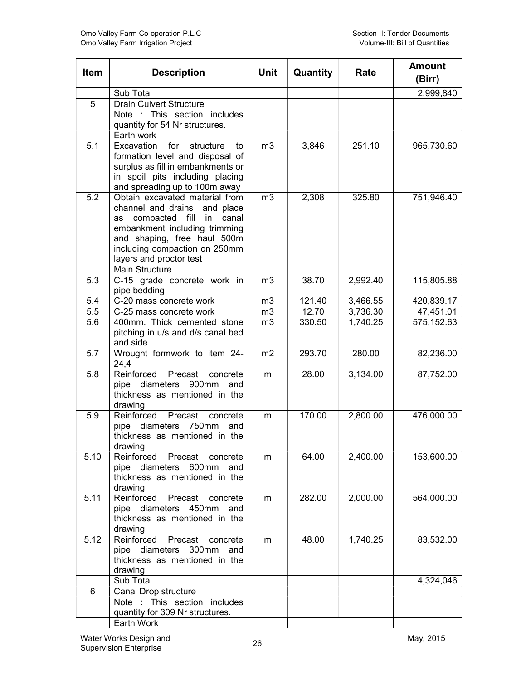| Item | <b>Description</b>                                                   | <b>Unit</b>    | Quantity | Rate     | <b>Amount</b><br>(Birr) |
|------|----------------------------------------------------------------------|----------------|----------|----------|-------------------------|
|      | Sub Total                                                            |                |          |          | 2,999,840               |
| 5    | <b>Drain Culvert Structure</b>                                       |                |          |          |                         |
|      | Note : This section includes                                         |                |          |          |                         |
|      | quantity for 54 Nr structures.                                       |                |          |          |                         |
|      | Earth work                                                           |                |          |          |                         |
| 5.1  | for<br>Excavation<br>structure<br>to                                 | m <sub>3</sub> | 3,846    | 251.10   | 965,730.60              |
|      | formation level and disposal of                                      |                |          |          |                         |
|      | surplus as fill in embankments or<br>in spoil pits including placing |                |          |          |                         |
|      | and spreading up to 100m away                                        |                |          |          |                         |
| 5.2  | Obtain excavated material from                                       | m <sub>3</sub> | 2,308    | 325.80   | 751,946.40              |
|      | channel and drains and place                                         |                |          |          |                         |
|      | compacted fill in<br>canal<br>as                                     |                |          |          |                         |
|      | embankment including trimming                                        |                |          |          |                         |
|      | and shaping, free haul 500m                                          |                |          |          |                         |
|      | including compaction on 250mm                                        |                |          |          |                         |
|      | layers and proctor test<br><b>Main Structure</b>                     |                |          |          |                         |
| 5.3  | C-15 grade concrete work in                                          | m <sub>3</sub> | 38.70    | 2,992.40 | 115,805.88              |
|      | pipe bedding                                                         |                |          |          |                         |
| 5.4  | C-20 mass concrete work                                              | m <sub>3</sub> | 121.40   | 3,466.55 | 420,839.17              |
| 5.5  | C-25 mass concrete work                                              | m <sub>3</sub> | 12.70    | 3,736.30 | 47,451.01               |
| 5.6  | 400mm. Thick cemented stone                                          | m <sub>3</sub> | 330.50   | 1,740.25 | 575,152.63              |
|      | pitching in u/s and d/s canal bed                                    |                |          |          |                         |
|      | and side                                                             |                |          |          |                         |
| 5.7  | Wrought formwork to item 24-<br>24,4                                 | m2             | 293.70   | 280.00   | 82,236.00               |
| 5.8  | Reinforced<br>Precast<br>concrete                                    | m              | 28.00    | 3,134.00 | 87,752.00               |
|      | pipe diameters 900mm<br>and                                          |                |          |          |                         |
|      | thickness as mentioned in the                                        |                |          |          |                         |
|      | drawing                                                              |                |          |          |                         |
| 5.9  | Reinforced<br>Precast<br>concrete                                    | m              | 170.00   | 2,800.00 | 476,000.00              |
|      | pipe diameters 750mm<br>and                                          |                |          |          |                         |
|      | thickness as mentioned in the                                        |                |          |          |                         |
|      | drawing                                                              |                |          |          |                         |
| 5.10 | Reinforced<br>Precast<br>concrete<br>pipe diameters 600mm<br>and     | m              | 64.00    | 2,400.00 | 153,600.00              |
|      | thickness as mentioned in the                                        |                |          |          |                         |
|      | drawing                                                              |                |          |          |                         |
| 5.11 | Reinforced<br>Precast<br>concrete                                    | m              | 282.00   | 2,000.00 | 564,000.00              |
|      | pipe diameters 450mm<br>and                                          |                |          |          |                         |
|      | thickness as mentioned in the                                        |                |          |          |                         |
|      | drawing                                                              |                |          |          |                         |
| 5.12 | Reinforced<br>Precast<br>concrete                                    | m              | 48.00    | 1,740.25 | 83,532.00               |
|      | pipe diameters 300mm<br>and                                          |                |          |          |                         |
|      | thickness as mentioned in the<br>drawing                             |                |          |          |                         |
|      | Sub Total                                                            |                |          |          | 4,324,046               |
| 6    | Canal Drop structure                                                 |                |          |          |                         |
|      | Note : This section includes                                         |                |          |          |                         |
|      | quantity for 309 Nr structures.                                      |                |          |          |                         |
|      | Earth Work                                                           |                |          |          |                         |